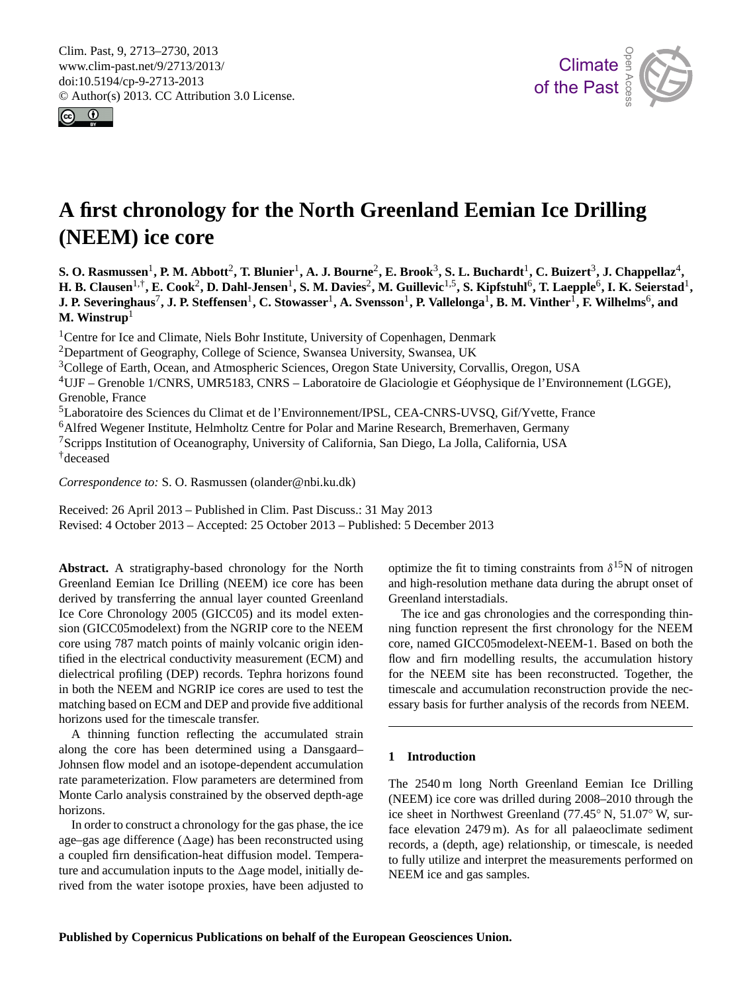<span id="page-0-0"></span>Clim. Past, 9, 2713–2730, 2013 www.clim-past.net/9/2713/2013/ doi:10.5194/cp-9-2713-2013 © Author(s) 2013. CC Attribution 3.0 License.





# **A first chronology for the North Greenland Eemian Ice Drilling (NEEM) ice core**

 $S$ . O. Rasmussen<sup>1</sup>, P. M. Abbott<sup>2</sup>, T. Blunier<sup>1</sup>, A. J. Bourne<sup>2</sup>, E. Brook<sup>3</sup>, S. L. Buchardt<sup>1</sup>, C. Buizert<sup>3</sup>, J. Chappellaz<sup>4</sup>,  $\bf H.$  B. Clausen $^{1, \dagger}$ , E. Cook $^2$ , D. Dahl-Jensen $^1$ , S. M. Davies $^2$ , M. Guillevic $^{1,5}$ , S. Kipfstuhl $^6$ , T. Laepple $^6$ , I. K. Seierstad $^1$ ,  ${\bf J.~P.~Severinghaus}^7, {\bf J.~P.~Steffensen}^1, {\bf C.~Stowasser}^1, {\bf A.~Svensson}^1, {\bf P.~Vallelonga}^1, {\bf B.~M.~Vinter}^1, {\bf F.~Wilhelms}^6, {\bf and}$ **M. Winstrup**<sup>1</sup>

<sup>1</sup> Centre for Ice and Climate, Niels Bohr Institute, University of Copenhagen, Denmark

<sup>2</sup>Department of Geography, College of Science, Swansea University, Swansea, UK

<sup>3</sup>College of Earth, Ocean, and Atmospheric Sciences, Oregon State University, Corvallis, Oregon, USA

<sup>4</sup>UJF – Grenoble 1/CNRS, UMR5183, CNRS – Laboratoire de Glaciologie et Géophysique de l'Environnement (LGGE), Grenoble, France

<sup>5</sup>Laboratoire des Sciences du Climat et de l'Environnement/IPSL, CEA-CNRS-UVSQ, Gif/Yvette, France

<sup>6</sup>Alfred Wegener Institute, Helmholtz Centre for Polar and Marine Research, Bremerhaven, Germany <sup>7</sup>Scripps Institution of Oceanography, University of California, San Diego, La Jolla, California, USA †deceased

*Correspondence to:* S. O. Rasmussen (olander@nbi.ku.dk)

Received: 26 April 2013 – Published in Clim. Past Discuss.: 31 May 2013 Revised: 4 October 2013 – Accepted: 25 October 2013 – Published: 5 December 2013

**Abstract.** A stratigraphy-based chronology for the North Greenland Eemian Ice Drilling (NEEM) ice core has been derived by transferring the annual layer counted Greenland Ice Core Chronology 2005 (GICC05) and its model extension (GICC05modelext) from the NGRIP core to the NEEM core using 787 match points of mainly volcanic origin identified in the electrical conductivity measurement (ECM) and dielectrical profiling (DEP) records. Tephra horizons found in both the NEEM and NGRIP ice cores are used to test the matching based on ECM and DEP and provide five additional horizons used for the timescale transfer.

A thinning function reflecting the accumulated strain along the core has been determined using a Dansgaard– Johnsen flow model and an isotope-dependent accumulation rate parameterization. Flow parameters are determined from Monte Carlo analysis constrained by the observed depth-age horizons.

In order to construct a chronology for the gas phase, the ice age–gas age difference  $(\Delta$ age) has been reconstructed using a coupled firn densification-heat diffusion model. Temperature and accumulation inputs to the  $\Delta$ age model, initially derived from the water isotope proxies, have been adjusted to

optimize the fit to timing constraints from  $\delta^{15}N$  of nitrogen and high-resolution methane data during the abrupt onset of Greenland interstadials.

The ice and gas chronologies and the corresponding thinning function represent the first chronology for the NEEM core, named GICC05modelext-NEEM-1. Based on both the flow and firn modelling results, the accumulation history for the NEEM site has been reconstructed. Together, the timescale and accumulation reconstruction provide the necessary basis for further analysis of the records from NEEM.

# **1 Introduction**

The 2540 m long North Greenland Eemian Ice Drilling (NEEM) ice core was drilled during 2008–2010 through the ice sheet in Northwest Greenland (77.45◦ N, 51.07◦ W, surface elevation 2479 m). As for all palaeoclimate sediment records, a (depth, age) relationship, or timescale, is needed to fully utilize and interpret the measurements performed on NEEM ice and gas samples.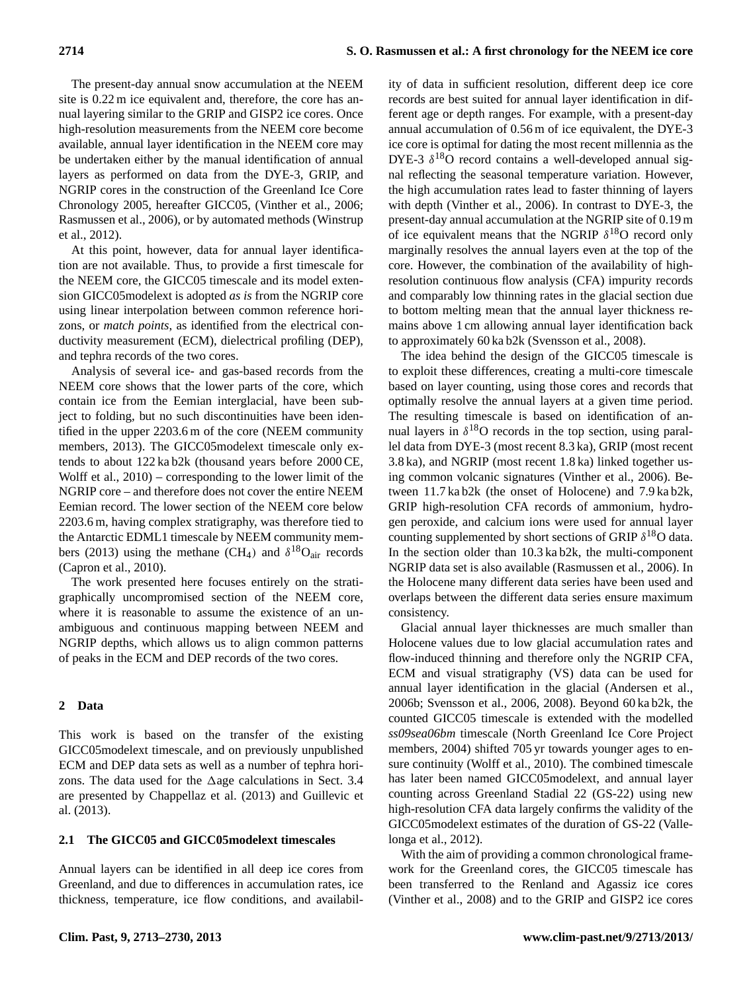The present-day annual snow accumulation at the NEEM site is 0.22 m ice equivalent and, therefore, the core has annual layering similar to the GRIP and GISP2 ice cores. Once high-resolution measurements from the NEEM core become available, annual layer identification in the NEEM core may be undertaken either by the manual identification of annual layers as performed on data from the DYE-3, GRIP, and NGRIP cores in the construction of the Greenland Ice Core Chronology 2005, hereafter GICC05, (Vinther et al., 2006; Rasmussen et al., 2006), or by automated methods (Winstrup et al., 2012).

At this point, however, data for annual layer identification are not available. Thus, to provide a first timescale for the NEEM core, the GICC05 timescale and its model extension GICC05modelext is adopted *as is* from the NGRIP core using linear interpolation between common reference horizons, or *match points*, as identified from the electrical conductivity measurement (ECM), dielectrical profiling (DEP), and tephra records of the two cores.

Analysis of several ice- and gas-based records from the NEEM core shows that the lower parts of the core, which contain ice from the Eemian interglacial, have been subject to folding, but no such discontinuities have been identified in the upper 2203.6 m of the core (NEEM community members, 2013). The GICC05modelext timescale only extends to about 122 ka b2k (thousand years before 2000 CE, Wolff et al., 2010) – corresponding to the lower limit of the NGRIP core – and therefore does not cover the entire NEEM Eemian record. The lower section of the NEEM core below 2203.6 m, having complex stratigraphy, was therefore tied to the Antarctic EDML1 timescale by NEEM community members (2013) using the methane (CH<sub>4</sub>) and  $\delta^{18}O_{air}$  records (Capron et al., 2010).

The work presented here focuses entirely on the stratigraphically uncompromised section of the NEEM core, where it is reasonable to assume the existence of an unambiguous and continuous mapping between NEEM and NGRIP depths, which allows us to align common patterns of peaks in the ECM and DEP records of the two cores.

# **2 Data**

This work is based on the transfer of the existing GICC05modelext timescale, and on previously unpublished ECM and DEP data sets as well as a number of tephra horizons. The data used for the  $\triangle$ age calculations in Sect. 3.4 are presented by Chappellaz et al. (2013) and Guillevic et al. (2013).

# **2.1 The GICC05 and GICC05modelext timescales**

Annual layers can be identified in all deep ice cores from Greenland, and due to differences in accumulation rates, ice thickness, temperature, ice flow conditions, and availability of data in sufficient resolution, different deep ice core records are best suited for annual layer identification in different age or depth ranges. For example, with a present-day annual accumulation of 0.56 m of ice equivalent, the DYE-3 ice core is optimal for dating the most recent millennia as the DYE-3  $\delta^{18}$ O record contains a well-developed annual signal reflecting the seasonal temperature variation. However, the high accumulation rates lead to faster thinning of layers with depth (Vinther et al., 2006). In contrast to DYE-3, the present-day annual accumulation at the NGRIP site of 0.19 m of ice equivalent means that the NGRIP  $\delta^{18}$ O record only marginally resolves the annual layers even at the top of the core. However, the combination of the availability of highresolution continuous flow analysis (CFA) impurity records and comparably low thinning rates in the glacial section due to bottom melting mean that the annual layer thickness remains above 1 cm allowing annual layer identification back to approximately 60 ka b2k (Svensson et al., 2008).

The idea behind the design of the GICC05 timescale is to exploit these differences, creating a multi-core timescale based on layer counting, using those cores and records that optimally resolve the annual layers at a given time period. The resulting timescale is based on identification of annual layers in  $\delta^{18}O$  records in the top section, using parallel data from DYE-3 (most recent 8.3 ka), GRIP (most recent 3.8 ka), and NGRIP (most recent 1.8 ka) linked together using common volcanic signatures (Vinther et al., 2006). Between 11.7 ka b2k (the onset of Holocene) and 7.9 ka b2k, GRIP high-resolution CFA records of ammonium, hydrogen peroxide, and calcium ions were used for annual layer counting supplemented by short sections of GRIP  $\delta^{18}$ O data. In the section older than 10.3 ka b2k, the multi-component NGRIP data set is also available (Rasmussen et al., 2006). In the Holocene many different data series have been used and overlaps between the different data series ensure maximum consistency.

Glacial annual layer thicknesses are much smaller than Holocene values due to low glacial accumulation rates and flow-induced thinning and therefore only the NGRIP CFA, ECM and visual stratigraphy (VS) data can be used for annual layer identification in the glacial (Andersen et al., 2006b; Svensson et al., 2006, 2008). Beyond 60 ka b2k, the counted GICC05 timescale is extended with the modelled *ss09sea06bm* timescale (North Greenland Ice Core Project members, 2004) shifted 705 yr towards younger ages to ensure continuity (Wolff et al., 2010). The combined timescale has later been named GICC05modelext, and annual layer counting across Greenland Stadial 22 (GS-22) using new high-resolution CFA data largely confirms the validity of the GICC05modelext estimates of the duration of GS-22 (Vallelonga et al., 2012).

With the aim of providing a common chronological framework for the Greenland cores, the GICC05 timescale has been transferred to the Renland and Agassiz ice cores (Vinther et al., 2008) and to the GRIP and GISP2 ice cores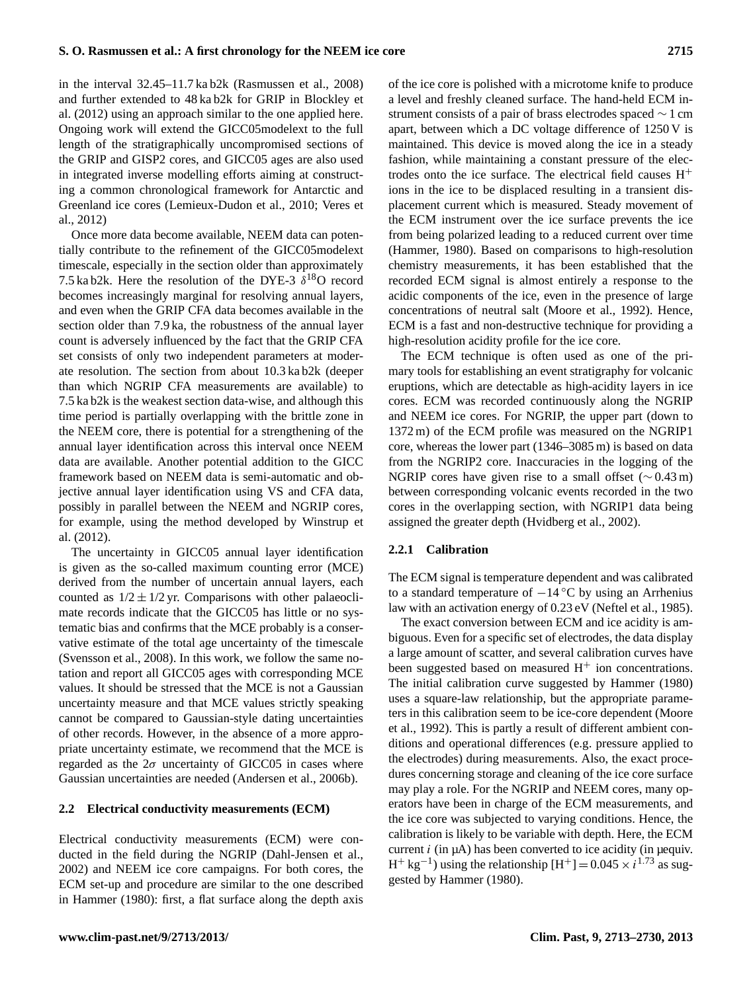in the interval 32.45–11.7 ka b2k (Rasmussen et al., 2008) and further extended to 48 ka b2k for GRIP in Blockley et al. (2012) using an approach similar to the one applied here. Ongoing work will extend the GICC05modelext to the full length of the stratigraphically uncompromised sections of the GRIP and GISP2 cores, and GICC05 ages are also used in integrated inverse modelling efforts aiming at constructing a common chronological framework for Antarctic and Greenland ice cores (Lemieux-Dudon et al., 2010; Veres et al., 2012)

Once more data become available, NEEM data can potentially contribute to the refinement of the GICC05modelext timescale, especially in the section older than approximately 7.5 ka b2k. Here the resolution of the DYE-3  $\delta^{18}$ O record becomes increasingly marginal for resolving annual layers, and even when the GRIP CFA data becomes available in the section older than 7.9 ka, the robustness of the annual layer count is adversely influenced by the fact that the GRIP CFA set consists of only two independent parameters at moderate resolution. The section from about 10.3 ka b2k (deeper than which NGRIP CFA measurements are available) to 7.5 ka b2k is the weakest section data-wise, and although this time period is partially overlapping with the brittle zone in the NEEM core, there is potential for a strengthening of the annual layer identification across this interval once NEEM data are available. Another potential addition to the GICC framework based on NEEM data is semi-automatic and objective annual layer identification using VS and CFA data, possibly in parallel between the NEEM and NGRIP cores, for example, using the method developed by Winstrup et al. (2012).

The uncertainty in GICC05 annual layer identification is given as the so-called maximum counting error (MCE) derived from the number of uncertain annual layers, each counted as  $1/2 \pm 1/2$  yr. Comparisons with other palaeoclimate records indicate that the GICC05 has little or no systematic bias and confirms that the MCE probably is a conservative estimate of the total age uncertainty of the timescale (Svensson et al., 2008). In this work, we follow the same notation and report all GICC05 ages with corresponding MCE values. It should be stressed that the MCE is not a Gaussian uncertainty measure and that MCE values strictly speaking cannot be compared to Gaussian-style dating uncertainties of other records. However, in the absence of a more appropriate uncertainty estimate, we recommend that the MCE is regarded as the  $2\sigma$  uncertainty of GICC05 in cases where Gaussian uncertainties are needed (Andersen et al., 2006b).

## **2.2 Electrical conductivity measurements (ECM)**

Electrical conductivity measurements (ECM) were conducted in the field during the NGRIP (Dahl-Jensen et al., 2002) and NEEM ice core campaigns. For both cores, the ECM set-up and procedure are similar to the one described in Hammer (1980): first, a flat surface along the depth axis of the ice core is polished with a microtome knife to produce a level and freshly cleaned surface. The hand-held ECM instrument consists of a pair of brass electrodes spaced ∼ 1 cm apart, between which a DC voltage difference of 1250 V is maintained. This device is moved along the ice in a steady fashion, while maintaining a constant pressure of the electrodes onto the ice surface. The electrical field causes  $H^+$ ions in the ice to be displaced resulting in a transient displacement current which is measured. Steady movement of the ECM instrument over the ice surface prevents the ice from being polarized leading to a reduced current over time (Hammer, 1980). Based on comparisons to high-resolution chemistry measurements, it has been established that the recorded ECM signal is almost entirely a response to the acidic components of the ice, even in the presence of large concentrations of neutral salt (Moore et al., 1992). Hence, ECM is a fast and non-destructive technique for providing a high-resolution acidity profile for the ice core.

The ECM technique is often used as one of the primary tools for establishing an event stratigraphy for volcanic eruptions, which are detectable as high-acidity layers in ice cores. ECM was recorded continuously along the NGRIP and NEEM ice cores. For NGRIP, the upper part (down to 1372 m) of the ECM profile was measured on the NGRIP1 core, whereas the lower part (1346–3085 m) is based on data from the NGRIP2 core. Inaccuracies in the logging of the NGRIP cores have given rise to a small offset (∼ 0.43 m) between corresponding volcanic events recorded in the two cores in the overlapping section, with NGRIP1 data being assigned the greater depth (Hvidberg et al., 2002).

## **2.2.1 Calibration**

The ECM signal is temperature dependent and was calibrated to a standard temperature of −14 ◦C by using an Arrhenius law with an activation energy of 0.23 eV (Neftel et al., 1985).

The exact conversion between ECM and ice acidity is ambiguous. Even for a specific set of electrodes, the data display a large amount of scatter, and several calibration curves have been suggested based on measured  $H^+$  ion concentrations. The initial calibration curve suggested by Hammer (1980) uses a square-law relationship, but the appropriate parameters in this calibration seem to be ice-core dependent (Moore et al., 1992). This is partly a result of different ambient conditions and operational differences (e.g. pressure applied to the electrodes) during measurements. Also, the exact procedures concerning storage and cleaning of the ice core surface may play a role. For the NGRIP and NEEM cores, many operators have been in charge of the ECM measurements, and the ice core was subjected to varying conditions. Hence, the calibration is likely to be variable with depth. Here, the ECM current  $i$  (in  $\mu$ A) has been converted to ice acidity (in  $\mu$ equiv. H<sup>+</sup> kg<sup>-1</sup>) using the relationship [H<sup>+</sup>] =  $0.045 \times i^{1.73}$  as suggested by Hammer (1980).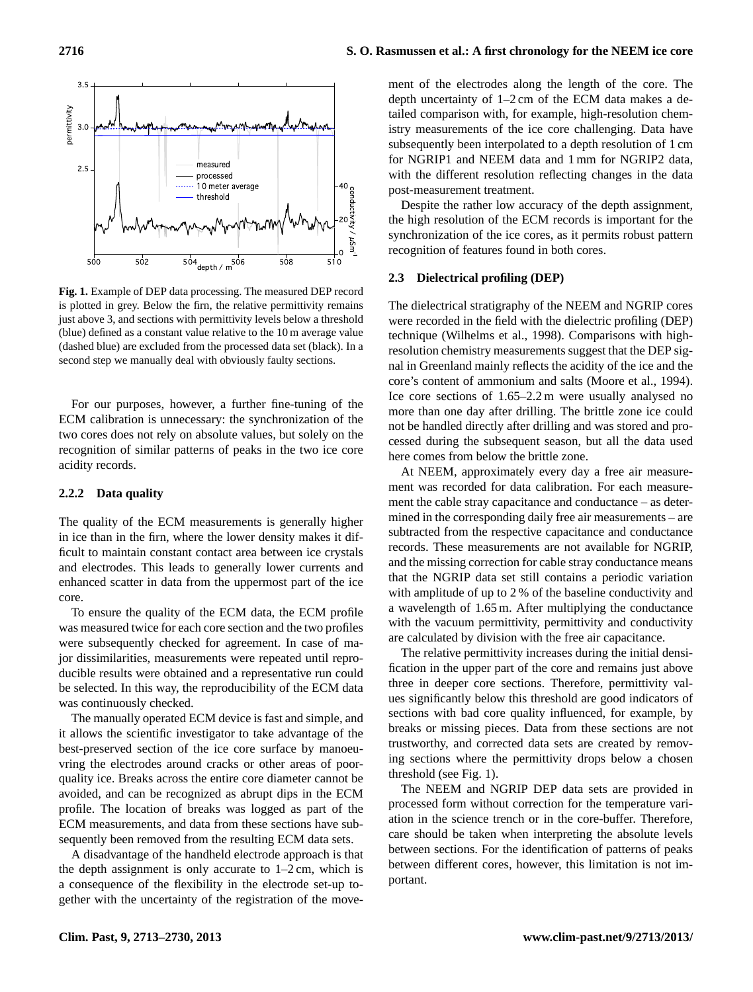

**Fig. 1.** Example of DEP data processing. The measured DEP record is plotted in grey. Below the firn, the relative permittivity remains just above 3, and sections with permittivity levels below a threshold (blue) defined as a constant value relative to the 10 m average value (dashed blue) are excluded from the processed data set (black). In a second step we manually deal with obviously faulty sections.

For our purposes, however, a further fine-tuning of the ECM calibration is unnecessary: the synchronization of the two cores does not rely on absolute values, but solely on the recognition of similar patterns of peaks in the two ice core acidity records.

# **2.2.2 Data quality**

The quality of the ECM measurements is generally higher in ice than in the firn, where the lower density makes it difficult to maintain constant contact area between ice crystals and electrodes. This leads to generally lower currents and enhanced scatter in data from the uppermost part of the ice core.

To ensure the quality of the ECM data, the ECM profile was measured twice for each core section and the two profiles were subsequently checked for agreement. In case of major dissimilarities, measurements were repeated until reproducible results were obtained and a representative run could be selected. In this way, the reproducibility of the ECM data was continuously checked.

The manually operated ECM device is fast and simple, and it allows the scientific investigator to take advantage of the best-preserved section of the ice core surface by manoeuvring the electrodes around cracks or other areas of poorquality ice. Breaks across the entire core diameter cannot be avoided, and can be recognized as abrupt dips in the ECM profile. The location of breaks was logged as part of the ECM measurements, and data from these sections have subsequently been removed from the resulting ECM data sets.

A disadvantage of the handheld electrode approach is that the depth assignment is only accurate to  $1-2$  cm, which is a consequence of the flexibility in the electrode set-up together with the uncertainty of the registration of the movement of the electrodes along the length of the core. The depth uncertainty of 1–2 cm of the ECM data makes a detailed comparison with, for example, high-resolution chemistry measurements of the ice core challenging. Data have subsequently been interpolated to a depth resolution of 1 cm for NGRIP1 and NEEM data and 1 mm for NGRIP2 data, with the different resolution reflecting changes in the data post-measurement treatment.

Despite the rather low accuracy of the depth assignment, the high resolution of the ECM records is important for the synchronization of the ice cores, as it permits robust pattern recognition of features found in both cores.

## **2.3 Dielectrical profiling (DEP)**

The dielectrical stratigraphy of the NEEM and NGRIP cores were recorded in the field with the dielectric profiling (DEP) technique (Wilhelms et al., 1998). Comparisons with highresolution chemistry measurements suggest that the DEP signal in Greenland mainly reflects the acidity of the ice and the core's content of ammonium and salts (Moore et al., 1994). Ice core sections of 1.65–2.2 m were usually analysed no more than one day after drilling. The brittle zone ice could not be handled directly after drilling and was stored and processed during the subsequent season, but all the data used here comes from below the brittle zone.

At NEEM, approximately every day a free air measurement was recorded for data calibration. For each measurement the cable stray capacitance and conductance – as determined in the corresponding daily free air measurements – are subtracted from the respective capacitance and conductance records. These measurements are not available for NGRIP, and the missing correction for cable stray conductance means that the NGRIP data set still contains a periodic variation with amplitude of up to 2 % of the baseline conductivity and a wavelength of 1.65 m. After multiplying the conductance with the vacuum permittivity, permittivity and conductivity are calculated by division with the free air capacitance.

The relative permittivity increases during the initial densification in the upper part of the core and remains just above three in deeper core sections. Therefore, permittivity values significantly below this threshold are good indicators of sections with bad core quality influenced, for example, by breaks or missing pieces. Data from these sections are not trustworthy, and corrected data sets are created by removing sections where the permittivity drops below a chosen threshold (see Fig. 1).

The NEEM and NGRIP DEP data sets are provided in processed form without correction for the temperature variation in the science trench or in the core-buffer. Therefore, care should be taken when interpreting the absolute levels between sections. For the identification of patterns of peaks between different cores, however, this limitation is not important.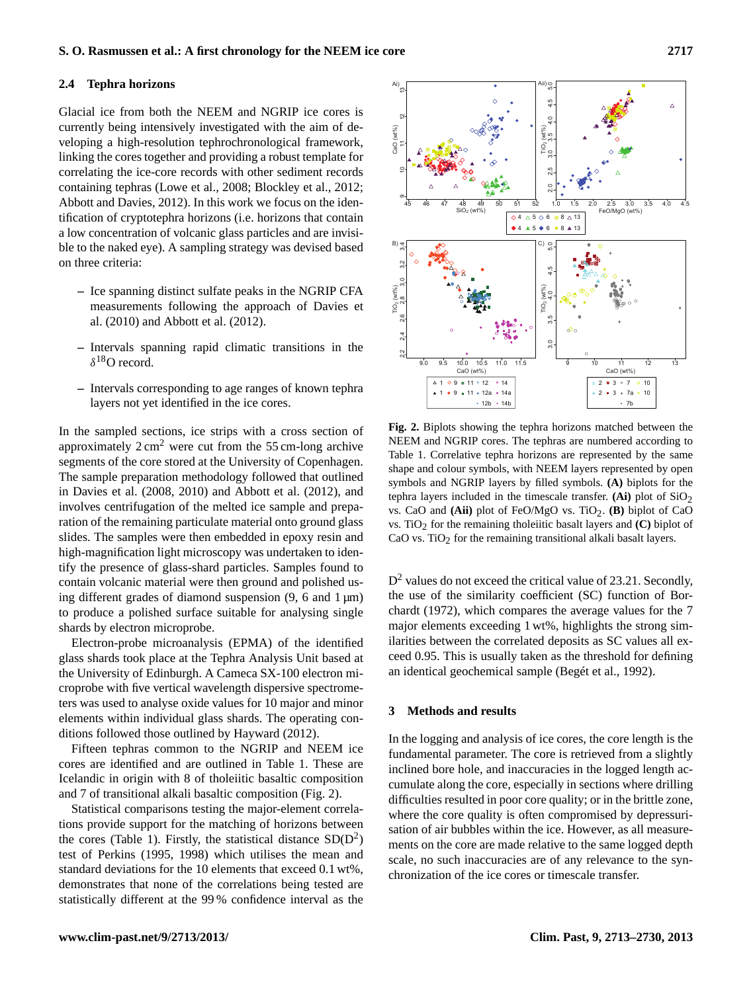## **2.4 Tephra horizons**

Glacial ice from both the NEEM and NGRIP ice cores is currently being intensively investigated with the aim of developing a high-resolution tephrochronological framework, linking the cores together and providing a robust template for correlating the ice-core records with other sediment records containing tephras (Lowe et al., 2008; Blockley et al., 2012; Abbott and Davies, 2012). In this work we focus on the identification of cryptotephra horizons (i.e. horizons that contain a low concentration of volcanic glass particles and are invisible to the naked eye). A sampling strategy was devised based on three criteria:

- **–** Ice spanning distinct sulfate peaks in the NGRIP CFA measurements following the approach of Davies et al. (2010) and Abbott et al. (2012).
- **–** Intervals spanning rapid climatic transitions in the  $\delta^{18}$ O record.
- **–** Intervals corresponding to age ranges of known tephra layers not yet identified in the ice cores.

In the sampled sections, ice strips with a cross section of approximately  $2 \text{ cm}^2$  were cut from the 55 cm-long archive segments of the core stored at the University of Copenhagen. The sample preparation methodology followed that outlined in Davies et al. (2008, 2010) and Abbott et al. (2012), and involves centrifugation of the melted ice sample and preparation of the remaining particulate material onto ground glass slides. The samples were then embedded in epoxy resin and high-magnification light microscopy was undertaken to identify the presence of glass-shard particles. Samples found to contain volcanic material were then ground and polished using different grades of diamond suspension  $(9, 6 \text{ and } 1 \text{ µm})$ to produce a polished surface suitable for analysing single shards by electron microprobe. Statistical statistical statistical participal statistical based on the VGRP (FRI) CFR (FRI)  $\frac{1}{2}$  and  $\frac{1}{2}$  and  $\frac{1}{2}$  and  $\frac{1}{2}$  and  $\frac{1}{2}$  and  $\frac{1}{2}$  and  $\frac{1}{2}$  and  $\frac{1}{2}$  and  $\frac{1}{2}$  and  $\$ 

Electron-probe microanalysis (EPMA) of the identified glass shards took place at the Tephra Analysis Unit based at the University of Edinburgh. A Cameca SX-100 electron microprobe with five vertical wavelength dispersive spectrometers was used to analyse oxide values for 10 major and minor elements within individual glass shards. The operating conditions followed those outlined by Hayward (2012).

Fifteen tephras common to the NGRIP and NEEM ice cores are identified and are outlined in Table 1. These are Icelandic in origin with 8 of tholeiitic basaltic composition and 7 of transitional alkali basaltic composition (Fig. 2).

Statistical comparisons testing the major-element correlations provide support for the matching of horizons between the cores (Table 1). Firstly, the statistical distance  $SD(D^2)$ test of Perkins (1995, 1998) which utilises the mean and standard deviations for the 10 elements that exceed 0.1 wt%, demonstrates that none of the correlations being tested are



**Fig. 2.** Biplots showing the tephra horizons matched between the NEEM and NGRIP cores. The tephras are numbered according to Table 1. Correlative tephra horizons are represented by the same shape and colour symbols, with NEEM layers represented by open symbols and NGRIP layers by filled symbols. **(A)** biplots for the tephra layers included in the timescale transfer.  $(Ai)$  plot of  $SiO<sub>2</sub>$ vs. CaO and (Aii) plot of FeO/MgO vs. TiO<sub>2</sub>. (B) biplot of CaO vs. TiO2 for the remaining tholeiitic basalt layers and **(C)** biplot of CaO vs. TiO<sub>2</sub> for the remaining transitional alkali basalt layers.

 $D<sup>2</sup>$  values do not exceed the critical value of 23.21. Secondly, the use of the similarity coefficient (SC) function of Borchardt (1972), which compares the average values for the 7 major elements exceeding 1 wt%, highlights the strong similarities between the correlated deposits as SC values all exceed 0.95. This is usually taken as the threshold for defining an identical geochemical sample (Begét et al., 1992).

# **3 Methods and results**

In the logging and analysis of ice cores, the core length is the fundamental parameter. The core is retrieved from a slightly inclined bore hole, and inaccuracies in the logged length accumulate along the core, especially in sections where drilling difficulties resulted in poor core quality; or in the brittle zone, where the core quality is often compromised by depressurisation of air bubbles within the ice. However, as all measurements on the core are made relative to the same logged depth scale, no such inaccuracies are of any relevance to the synchronization of the ice cores or timescale transfer.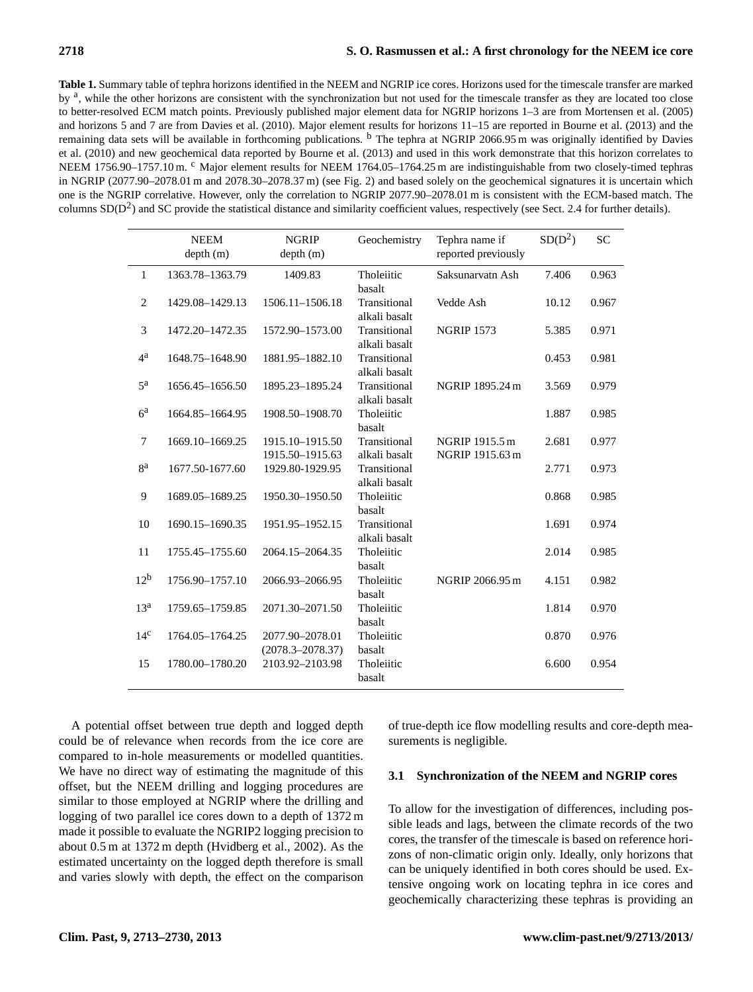**Table 1.** Summary table of tephra horizons identified in the NEEM and NGRIP ice cores. Horizons used for the timescale transfer are marked by <sup>a</sup>, while the other horizons are consistent with the synchronization but not used for the timescale transfer as they are located too close to better-resolved ECM match points. Previously published major element data for NGRIP horizons 1–3 are from Mortensen et al. (2005) and horizons 5 and 7 are from Davies et al. (2010). Major element results for horizons 11–15 are reported in Bourne et al. (2013) and the remaining data sets will be available in forthcoming publications. <sup>b</sup> The tephra at NGRIP 2066.95 m was originally identified by Davies et al. (2010) and new geochemical data reported by Bourne et al. (2013) and used in this work demonstrate that this horizon correlates to NEEM 1756.90-1757.10 m. <sup>c</sup> Major element results for NEEM 1764.05-1764.25 m are indistinguishable from two closely-timed tephras in NGRIP (2077.90–2078.01 m and 2078.30–2078.37 m) (see Fig. 2) and based solely on the geochemical signatures it is uncertain which one is the NGRIP correlative. However, only the correlation to NGRIP 2077.90–2078.01 m is consistent with the ECM-based match. The columns  $SD(D^2)$  and SC provide the statistical distance and similarity coefficient values, respectively (see Sect. 2.4 for further details).

|                 | <b>NEEM</b><br>depth (m) | <b>NGRIP</b><br>depth (m)               | Geochemistry                  | Tephra name if<br>reported previously | $SD(D^2)$ | <b>SC</b> |
|-----------------|--------------------------|-----------------------------------------|-------------------------------|---------------------------------------|-----------|-----------|
| $\mathbf{1}$    | 1363.78-1363.79          | 1409.83                                 | Tholeiitic<br>basalt          | Saksunarvatn Ash                      | 7.406     | 0.963     |
| 2               | 1429.08-1429.13          | 1506.11-1506.18                         | Transitional<br>alkali basalt | Vedde Ash                             | 10.12     | 0.967     |
| 3               | 1472.20-1472.35          | 1572.90-1573.00                         | Transitional<br>alkali basalt | <b>NGRIP 1573</b>                     | 5.385     | 0.971     |
| 4 <sup>a</sup>  | 1648.75-1648.90          | 1881.95-1882.10                         | Transitional<br>alkali basalt |                                       | 0.453     | 0.981     |
| 5 <sup>a</sup>  | 1656.45-1656.50          | 1895.23-1895.24                         | Transitional<br>alkali basalt | NGRIP 1895.24 m                       | 3.569     | 0.979     |
| 6 <sup>a</sup>  | 1664.85-1664.95          | 1908.50-1908.70                         | Tholeiitic<br>basalt          |                                       | 1.887     | 0.985     |
| $\tau$          | 1669.10-1669.25          | 1915.10-1915.50<br>1915.50-1915.63      | Transitional<br>alkali basalt | NGRIP 1915.5 m<br>NGRIP 1915.63 m     | 2.681     | 0.977     |
| ga              | 1677.50-1677.60          | 1929.80-1929.95                         | Transitional<br>alkali basalt |                                       | 2.771     | 0.973     |
| 9               | 1689.05-1689.25          | 1950.30-1950.50                         | Tholeiitic<br>basalt          |                                       | 0.868     | 0.985     |
| 10              | 1690.15-1690.35          | 1951.95-1952.15                         | Transitional<br>alkali basalt |                                       | 1.691     | 0.974     |
| 11              | 1755.45-1755.60          | 2064.15-2064.35                         | Tholeiitic<br>basalt          |                                       | 2.014     | 0.985     |
| 12 <sup>b</sup> | 1756.90-1757.10          | 2066.93-2066.95                         | Tholeiitic<br>basalt          | NGRIP 2066.95 m                       | 4.151     | 0.982     |
| 13 <sup>a</sup> | 1759.65-1759.85          | 2071.30-2071.50                         | Tholeiitic<br>basalt          |                                       | 1.814     | 0.970     |
| 14 <sup>c</sup> | 1764.05-1764.25          | 2077.90-2078.01<br>$(2078.3 - 2078.37)$ | Tholeiitic<br>basalt          |                                       | 0.870     | 0.976     |
| 15              | 1780.00-1780.20          | 2103.92-2103.98                         | Tholeiitic<br>basalt          |                                       | 6.600     | 0.954     |

A potential offset between true depth and logged depth could be of relevance when records from the ice core are compared to in-hole measurements or modelled quantities. We have no direct way of estimating the magnitude of this offset, but the NEEM drilling and logging procedures are similar to those employed at NGRIP where the drilling and logging of two parallel ice cores down to a depth of 1372 m made it possible to evaluate the NGRIP2 logging precision to about 0.5 m at 1372 m depth (Hvidberg et al., 2002). As the estimated uncertainty on the logged depth therefore is small and varies slowly with depth, the effect on the comparison

of true-depth ice flow modelling results and core-depth measurements is negligible.

## **3.1 Synchronization of the NEEM and NGRIP cores**

To allow for the investigation of differences, including possible leads and lags, between the climate records of the two cores, the transfer of the timescale is based on reference horizons of non-climatic origin only. Ideally, only horizons that can be uniquely identified in both cores should be used. Extensive ongoing work on locating tephra in ice cores and geochemically characterizing these tephras is providing an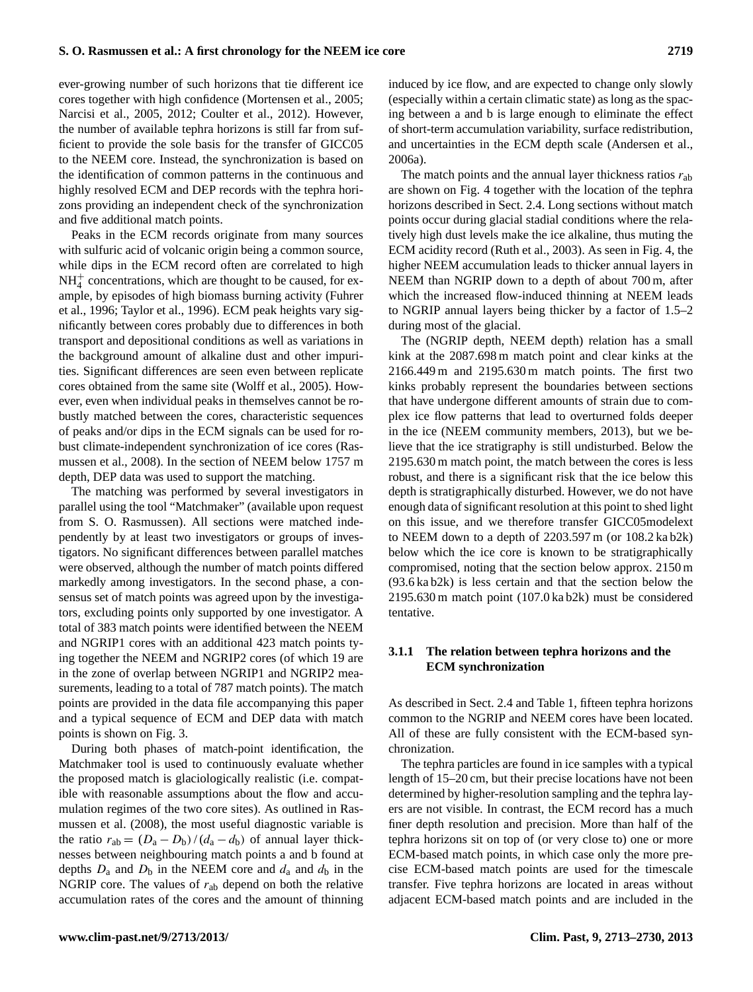# ever-growing number of such horizons that tie different ice cores together with high confidence (Mortensen et al., 2005; Narcisi et al., 2005, 2012; Coulter et al., 2012). However, the number of available tephra horizons is still far from sufficient to provide the sole basis for the transfer of GICC05 to the NEEM core. Instead, the synchronization is based on the identification of common patterns in the continuous and highly resolved ECM and DEP records with the tephra horizons providing an independent check of the synchronization and five additional match points.

Peaks in the ECM records originate from many sources with sulfuric acid of volcanic origin being a common source, while dips in the ECM record often are correlated to high  $NH<sub>4</sub><sup>+</sup>$  concentrations, which are thought to be caused, for example, by episodes of high biomass burning activity (Fuhrer et al., 1996; Taylor et al., 1996). ECM peak heights vary significantly between cores probably due to differences in both transport and depositional conditions as well as variations in the background amount of alkaline dust and other impurities. Significant differences are seen even between replicate cores obtained from the same site (Wolff et al., 2005). However, even when individual peaks in themselves cannot be robustly matched between the cores, characteristic sequences of peaks and/or dips in the ECM signals can be used for robust climate-independent synchronization of ice cores (Rasmussen et al., 2008). In the section of NEEM below 1757 m depth, DEP data was used to support the matching.

The matching was performed by several investigators in parallel using the tool "Matchmaker" (available upon request from S. O. Rasmussen). All sections were matched independently by at least two investigators or groups of investigators. No significant differences between parallel matches were observed, although the number of match points differed markedly among investigators. In the second phase, a consensus set of match points was agreed upon by the investigators, excluding points only supported by one investigator. A total of 383 match points were identified between the NEEM and NGRIP1 cores with an additional 423 match points tying together the NEEM and NGRIP2 cores (of which 19 are in the zone of overlap between NGRIP1 and NGRIP2 measurements, leading to a total of 787 match points). The match points are provided in the data file accompanying this paper and a typical sequence of ECM and DEP data with match points is shown on Fig. 3.

During both phases of match-point identification, the Matchmaker tool is used to continuously evaluate whether the proposed match is glaciologically realistic (i.e. compatible with reasonable assumptions about the flow and accumulation regimes of the two core sites). As outlined in Rasmussen et al. (2008), the most useful diagnostic variable is the ratio  $r_{ab} = (D_a - D_b)/(d_a - d_b)$  of annual layer thicknesses between neighbouring match points a and b found at depths  $D_a$  and  $D_b$  in the NEEM core and  $d_a$  and  $d_b$  in the NGRIP core. The values of  $r_{ab}$  depend on both the relative accumulation rates of the cores and the amount of thinning induced by ice flow, and are expected to change only slowly (especially within a certain climatic state) as long as the spacing between a and b is large enough to eliminate the effect of short-term accumulation variability, surface redistribution, and uncertainties in the ECM depth scale (Andersen et al., 2006a).

The match points and the annual layer thickness ratios  $r_{ab}$ are shown on Fig. 4 together with the location of the tephra horizons described in Sect. 2.4. Long sections without match points occur during glacial stadial conditions where the relatively high dust levels make the ice alkaline, thus muting the ECM acidity record (Ruth et al., 2003). As seen in Fig. 4, the higher NEEM accumulation leads to thicker annual layers in NEEM than NGRIP down to a depth of about 700 m, after which the increased flow-induced thinning at NEEM leads to NGRIP annual layers being thicker by a factor of 1.5–2 during most of the glacial.

The (NGRIP depth, NEEM depth) relation has a small kink at the 2087.698 m match point and clear kinks at the 2166.449 m and 2195.630 m match points. The first two kinks probably represent the boundaries between sections that have undergone different amounts of strain due to complex ice flow patterns that lead to overturned folds deeper in the ice (NEEM community members, 2013), but we believe that the ice stratigraphy is still undisturbed. Below the 2195.630 m match point, the match between the cores is less robust, and there is a significant risk that the ice below this depth is stratigraphically disturbed. However, we do not have enough data of significant resolution at this point to shed light on this issue, and we therefore transfer GICC05modelext to NEEM down to a depth of 2203.597 m (or 108.2 ka b2k) below which the ice core is known to be stratigraphically compromised, noting that the section below approx. 2150 m (93.6 ka b2k) is less certain and that the section below the 2195.630 m match point (107.0 ka b2k) must be considered tentative.

# **3.1.1 The relation between tephra horizons and the ECM synchronization**

As described in Sect. 2.4 and Table 1, fifteen tephra horizons common to the NGRIP and NEEM cores have been located. All of these are fully consistent with the ECM-based synchronization.

The tephra particles are found in ice samples with a typical length of 15–20 cm, but their precise locations have not been determined by higher-resolution sampling and the tephra layers are not visible. In contrast, the ECM record has a much finer depth resolution and precision. More than half of the tephra horizons sit on top of (or very close to) one or more ECM-based match points, in which case only the more precise ECM-based match points are used for the timescale transfer. Five tephra horizons are located in areas without adjacent ECM-based match points and are included in the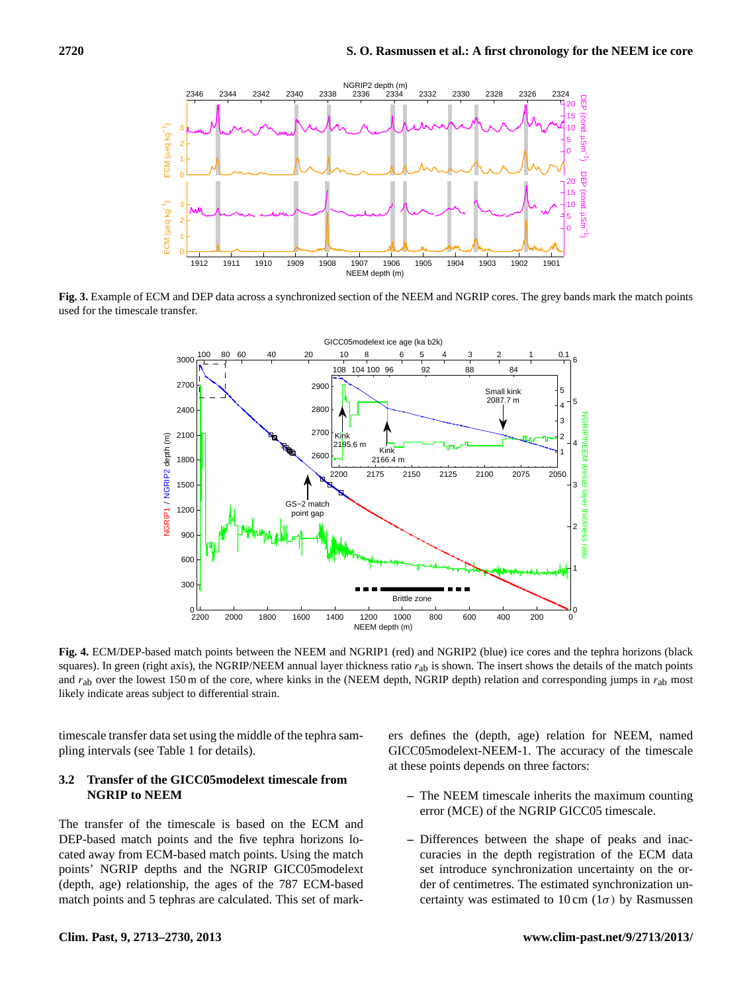

**Fig. 3.** Example of ECM and DEP data across a synchronized section of the NEEM and NGRIP cores. The grey bands mark the match points used for the timescale transfer.



**Fig. 4.** ECM/DEP-based match points between the NEEM and NGRIP1 (red) and NGRIP2 (blue) ice cores and the tephra horizons (black squares). In green (right axis), the NGRIP/NEEM annual layer thickness ratio r<sub>ab</sub> is shown. The insert shows the details of the match points and  $r_{ab}$  over the lowest 150 m of the core, where kinks in the (NEEM depth, NGRIP depth) relation and corresponding jumps in  $r_{ab}$  most likely indicate areas subject to differential strain.

timescale transfer data set using the middle of the tephra sampling intervals (see Table 1 for details).

# **3.2 Transfer of the GICC05modelext timescale from NGRIP to NEEM**

The transfer of the timescale is based on the ECM and DEP-based match points and the five tephra horizons located away from ECM-based match points. Using the match points' NGRIP depths and the NGRIP GICC05modelext (depth, age) relationship, the ages of the 787 ECM-based match points and 5 tephras are calculated. This set of markers defines the (depth, age) relation for NEEM, named GICC05modelext-NEEM-1. The accuracy of the timescale at these points depends on three factors:

- **–** The NEEM timescale inherits the maximum counting error (MCE) of the NGRIP GICC05 timescale.
- **–** Differences between the shape of peaks and inaccuracies in the depth registration of the ECM data set introduce synchronization uncertainty on the order of centimetres. The estimated synchronization uncertainty was estimated to  $10 \text{ cm } (1\sigma)$  by Rasmussen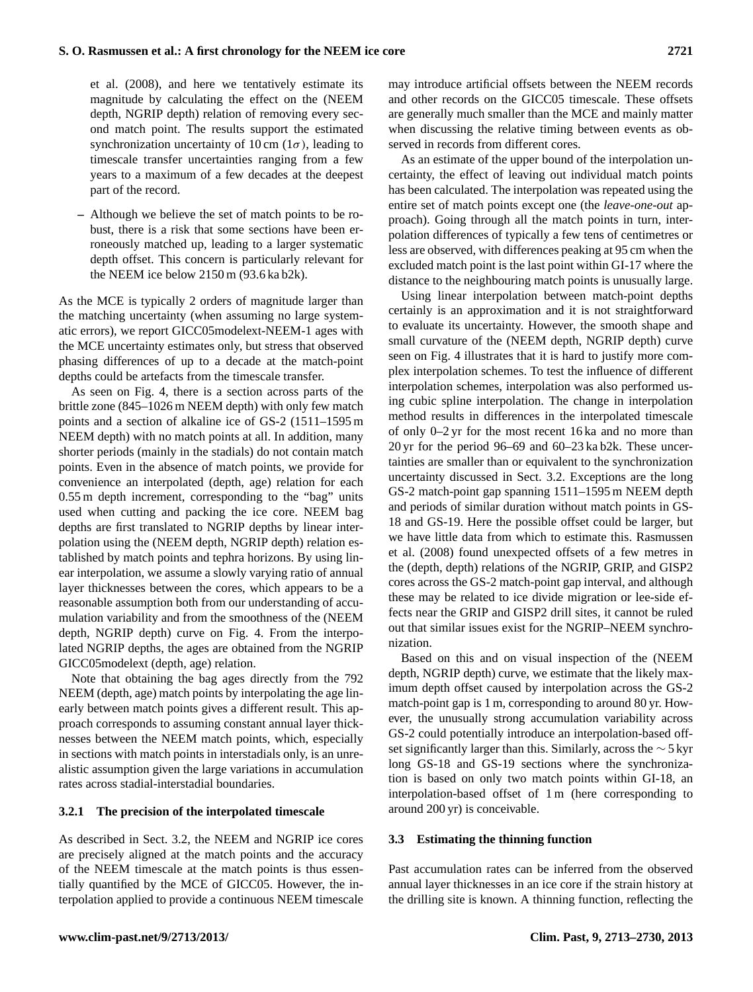et al. (2008), and here we tentatively estimate its magnitude by calculating the effect on the (NEEM depth, NGRIP depth) relation of removing every second match point. The results support the estimated synchronization uncertainty of  $10 \text{ cm } (1\sigma)$ , leading to timescale transfer uncertainties ranging from a few years to a maximum of a few decades at the deepest part of the record.

**–** Although we believe the set of match points to be robust, there is a risk that some sections have been erroneously matched up, leading to a larger systematic depth offset. This concern is particularly relevant for the NEEM ice below 2150 m (93.6 ka b2k).

As the MCE is typically 2 orders of magnitude larger than the matching uncertainty (when assuming no large systematic errors), we report GICC05modelext-NEEM-1 ages with the MCE uncertainty estimates only, but stress that observed phasing differences of up to a decade at the match-point depths could be artefacts from the timescale transfer.

As seen on Fig. 4, there is a section across parts of the brittle zone (845–1026 m NEEM depth) with only few match points and a section of alkaline ice of GS-2 (1511–1595 m NEEM depth) with no match points at all. In addition, many shorter periods (mainly in the stadials) do not contain match points. Even in the absence of match points, we provide for convenience an interpolated (depth, age) relation for each 0.55 m depth increment, corresponding to the "bag" units used when cutting and packing the ice core. NEEM bag depths are first translated to NGRIP depths by linear interpolation using the (NEEM depth, NGRIP depth) relation established by match points and tephra horizons. By using linear interpolation, we assume a slowly varying ratio of annual layer thicknesses between the cores, which appears to be a reasonable assumption both from our understanding of accumulation variability and from the smoothness of the (NEEM depth, NGRIP depth) curve on Fig. 4. From the interpolated NGRIP depths, the ages are obtained from the NGRIP GICC05modelext (depth, age) relation.

Note that obtaining the bag ages directly from the 792 NEEM (depth, age) match points by interpolating the age linearly between match points gives a different result. This approach corresponds to assuming constant annual layer thicknesses between the NEEM match points, which, especially in sections with match points in interstadials only, is an unrealistic assumption given the large variations in accumulation rates across stadial-interstadial boundaries.

#### **3.2.1 The precision of the interpolated timescale**

As described in Sect. 3.2, the NEEM and NGRIP ice cores are precisely aligned at the match points and the accuracy of the NEEM timescale at the match points is thus essentially quantified by the MCE of GICC05. However, the interpolation applied to provide a continuous NEEM timescale may introduce artificial offsets between the NEEM records and other records on the GICC05 timescale. These offsets are generally much smaller than the MCE and mainly matter when discussing the relative timing between events as observed in records from different cores.

As an estimate of the upper bound of the interpolation uncertainty, the effect of leaving out individual match points has been calculated. The interpolation was repeated using the entire set of match points except one (the *leave-one-out* approach). Going through all the match points in turn, interpolation differences of typically a few tens of centimetres or less are observed, with differences peaking at 95 cm when the excluded match point is the last point within GI-17 where the distance to the neighbouring match points is unusually large.

Using linear interpolation between match-point depths certainly is an approximation and it is not straightforward to evaluate its uncertainty. However, the smooth shape and small curvature of the (NEEM depth, NGRIP depth) curve seen on Fig. 4 illustrates that it is hard to justify more complex interpolation schemes. To test the influence of different interpolation schemes, interpolation was also performed using cubic spline interpolation. The change in interpolation method results in differences in the interpolated timescale of only 0–2 yr for the most recent 16 ka and no more than 20 yr for the period 96–69 and 60–23 ka b2k. These uncertainties are smaller than or equivalent to the synchronization uncertainty discussed in Sect. 3.2. Exceptions are the long GS-2 match-point gap spanning 1511–1595 m NEEM depth and periods of similar duration without match points in GS-18 and GS-19. Here the possible offset could be larger, but we have little data from which to estimate this. Rasmussen et al. (2008) found unexpected offsets of a few metres in the (depth, depth) relations of the NGRIP, GRIP, and GISP2 cores across the GS-2 match-point gap interval, and although these may be related to ice divide migration or lee-side effects near the GRIP and GISP2 drill sites, it cannot be ruled out that similar issues exist for the NGRIP–NEEM synchronization.

Based on this and on visual inspection of the (NEEM depth, NGRIP depth) curve, we estimate that the likely maximum depth offset caused by interpolation across the GS-2 match-point gap is 1 m, corresponding to around 80 yr. However, the unusually strong accumulation variability across GS-2 could potentially introduce an interpolation-based offset significantly larger than this. Similarly, across the ∼ 5 kyr long GS-18 and GS-19 sections where the synchronization is based on only two match points within GI-18, an interpolation-based offset of 1 m (here corresponding to around 200 yr) is conceivable.

## **3.3 Estimating the thinning function**

Past accumulation rates can be inferred from the observed annual layer thicknesses in an ice core if the strain history at the drilling site is known. A thinning function, reflecting the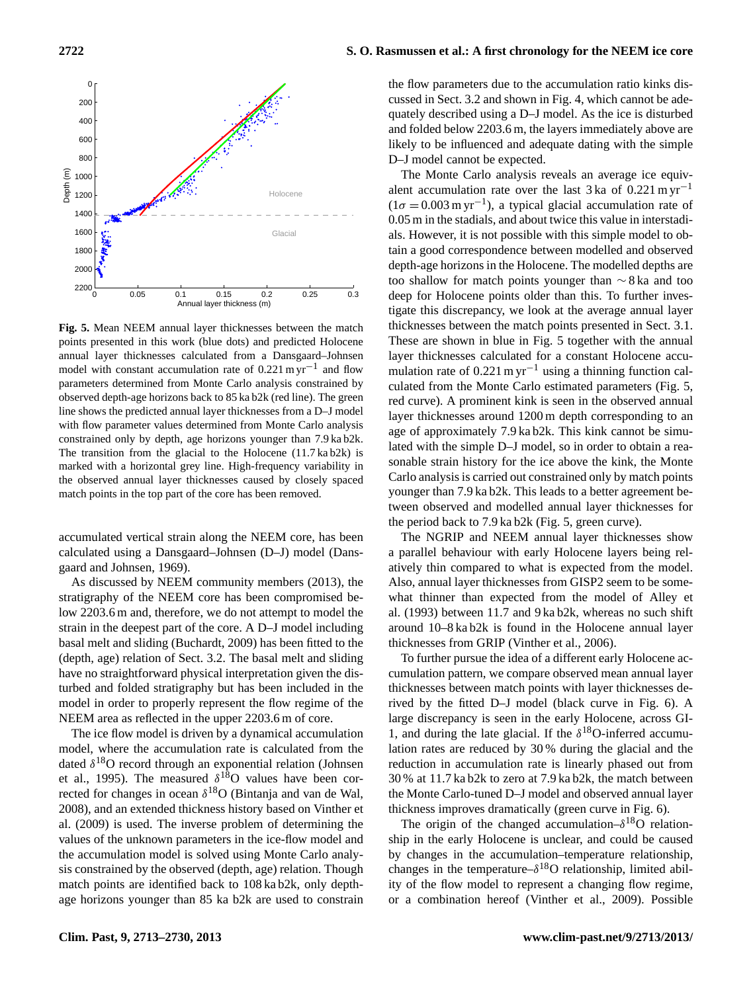

**Fig. 5.** Mean NEEM annual layer thicknesses between the match points presented in this work (blue dots) and predicted Holocene annual layer thicknesses calculated from a Dansgaard–Johnsen model with constant accumulation rate of 0.221 m yr−<sup>1</sup> and flow parameters determined from Monte Carlo analysis constrained by observed depth-age horizons back to 85 ka b2k (red line). The green line shows the predicted annual layer thicknesses from a D–J model with flow parameter values determined from Monte Carlo analysis constrained only by depth, age horizons younger than 7.9 ka b2k. The transition from the glacial to the Holocene (11.7 ka b2k) is marked with a horizontal grey line. High-frequency variability in the observed annual layer thicknesses caused by closely spaced match points in the top part of the core has been removed.

accumulated vertical strain along the NEEM core, has been calculated using a Dansgaard–Johnsen (D–J) model (Dansgaard and Johnsen, 1969).

As discussed by NEEM community members (2013), the stratigraphy of the NEEM core has been compromised below 2203.6 m and, therefore, we do not attempt to model the strain in the deepest part of the core. A D–J model including basal melt and sliding (Buchardt, 2009) has been fitted to the (depth, age) relation of Sect. 3.2. The basal melt and sliding have no straightforward physical interpretation given the disturbed and folded stratigraphy but has been included in the model in order to properly represent the flow regime of the NEEM area as reflected in the upper 2203.6 m of core.

The ice flow model is driven by a dynamical accumulation model, where the accumulation rate is calculated from the dated  $\delta^{18}O$  record through an exponential relation (Johnsen et al., 1995). The measured  $\delta^{18}$ O values have been corrected for changes in ocean  $\delta^{18}O$  (Bintanja and van de Wal, 2008), and an extended thickness history based on Vinther et al. (2009) is used. The inverse problem of determining the values of the unknown parameters in the ice-flow model and the accumulation model is solved using Monte Carlo analysis constrained by the observed (depth, age) relation. Though match points are identified back to 108 ka b2k, only depthage horizons younger than 85 ka b2k are used to constrain the flow parameters due to the accumulation ratio kinks discussed in Sect. 3.2 and shown in Fig. 4, which cannot be adequately described using a D–J model. As the ice is disturbed and folded below 2203.6 m, the layers immediately above are likely to be influenced and adequate dating with the simple D–J model cannot be expected.

The Monte Carlo analysis reveals an average ice equivalent accumulation rate over the last 3 ka of 0.221 m yr<sup>-1</sup>  $(1\sigma = 0.003 \,\mathrm{m}\,\mathrm{yr}^{-1})$ , a typical glacial accumulation rate of 0.05 m in the stadials, and about twice this value in interstadials. However, it is not possible with this simple model to obtain a good correspondence between modelled and observed depth-age horizons in the Holocene. The modelled depths are too shallow for match points younger than ∼ 8 ka and too deep for Holocene points older than this. To further investigate this discrepancy, we look at the average annual layer thicknesses between the match points presented in Sect. 3.1. These are shown in blue in Fig. 5 together with the annual layer thicknesses calculated for a constant Holocene accumulation rate of  $0.221 \text{ m yr}^{-1}$  using a thinning function calculated from the Monte Carlo estimated parameters (Fig. 5, red curve). A prominent kink is seen in the observed annual layer thicknesses around 1200 m depth corresponding to an age of approximately 7.9 ka b2k. This kink cannot be simulated with the simple D–J model, so in order to obtain a reasonable strain history for the ice above the kink, the Monte Carlo analysis is carried out constrained only by match points younger than 7.9 ka b2k. This leads to a better agreement between observed and modelled annual layer thicknesses for the period back to 7.9 ka b2k (Fig. 5, green curve).

The NGRIP and NEEM annual layer thicknesses show a parallel behaviour with early Holocene layers being relatively thin compared to what is expected from the model. Also, annual layer thicknesses from GISP2 seem to be somewhat thinner than expected from the model of Alley et al. (1993) between 11.7 and 9 ka b2k, whereas no such shift around 10–8 ka b2k is found in the Holocene annual layer thicknesses from GRIP (Vinther et al., 2006).

To further pursue the idea of a different early Holocene accumulation pattern, we compare observed mean annual layer thicknesses between match points with layer thicknesses derived by the fitted D–J model (black curve in Fig. 6). A large discrepancy is seen in the early Holocene, across GI-1, and during the late glacial. If the  $\delta^{18}$ O-inferred accumulation rates are reduced by 30 % during the glacial and the reduction in accumulation rate is linearly phased out from 30 % at 11.7 ka b2k to zero at 7.9 ka b2k, the match between the Monte Carlo-tuned D–J model and observed annual layer thickness improves dramatically (green curve in Fig. 6).

The origin of the changed accumulation- $\delta^{18}O$  relationship in the early Holocene is unclear, and could be caused by changes in the accumulation–temperature relationship, changes in the temperature- $\delta^{18}O$  relationship, limited ability of the flow model to represent a changing flow regime, or a combination hereof (Vinther et al., 2009). Possible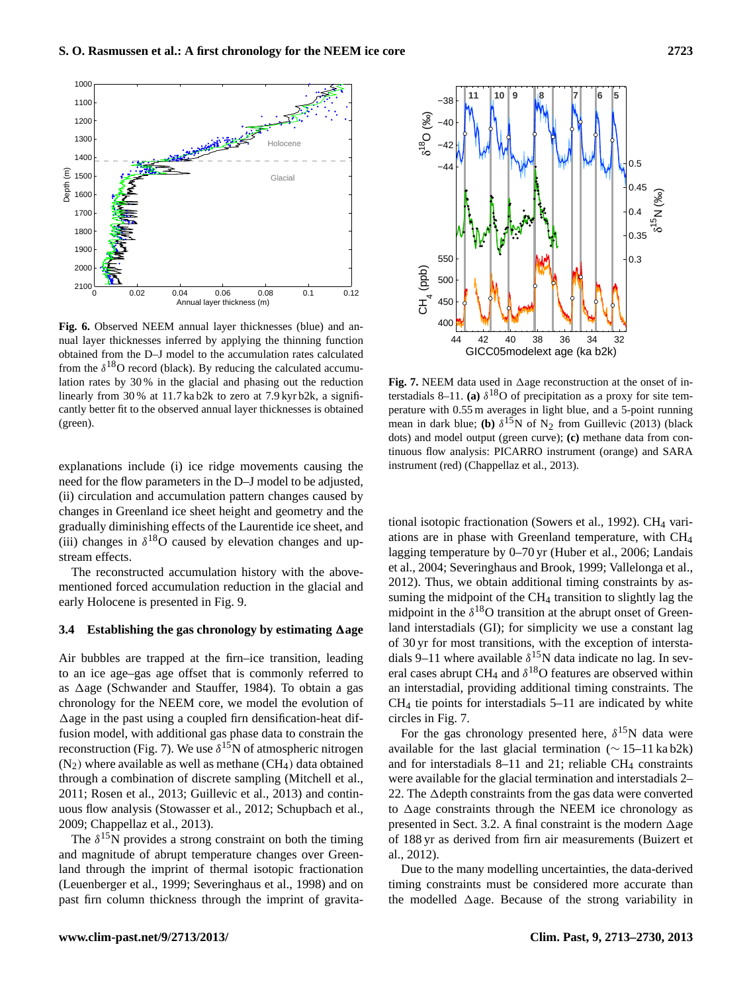

**Fig. 6.** Observed NEEM annual layer thicknesses (blue) and annual layer thicknesses inferred by applying the thinning function obtained from the D–J model to the accumulation rates calculated from the  $\delta^{18}O$  record (black). By reducing the calculated accumulation rates by 30 % in the glacial and phasing out the reduction linearly from 30 % at 11.7 ka b2k to zero at 7.9 kyr b2k, a significantly better fit to the observed annual layer thicknesses is obtained (green).

explanations include (i) ice ridge movements causing the need for the flow parameters in the D–J model to be adjusted, (ii) circulation and accumulation pattern changes caused by changes in Greenland ice sheet height and geometry and the gradually diminishing effects of the Laurentide ice sheet, and (iii) changes in  $\delta^{18}$ O caused by elevation changes and upstream effects.

The reconstructed accumulation history with the abovementioned forced accumulation reduction in the glacial and early Holocene is presented in Fig. 9.

# **3.4** Establishing the gas chronology by estimating  $\triangle$ age

Air bubbles are trapped at the firn–ice transition, leading to an ice age–gas age offset that is commonly referred to as  $\Delta$ age (Schwander and Stauffer, 1984). To obtain a gas chronology for the NEEM core, we model the evolution of  $\Delta$ age in the past using a coupled firn densification-heat diffusion model, with additional gas phase data to constrain the reconstruction (Fig. 7). We use  $\delta^{15}$ N of atmospheric nitrogen  $(N_2)$  where available as well as methane  $(CH_4)$  data obtained through a combination of discrete sampling (Mitchell et al., 2011; Rosen et al., 2013; Guillevic et al., 2013) and continuous flow analysis (Stowasser et al., 2012; Schupbach et al., 2009; Chappellaz et al., 2013).

The  $\delta^{15}$ N provides a strong constraint on both the timing and magnitude of abrupt temperature changes over Greenland through the imprint of thermal isotopic fractionation (Leuenberger et al., 1999; Severinghaus et al., 1998) and on past firn column thickness through the imprint of gravita-



Fig. 7. NEEM data used in  $\Delta$ age reconstruction at the onset of interstadials 8–11. (a)  $\delta^{18}$ O of precipitation as a proxy for site temperature with 0.55 m averages in light blue, and a 5-point running mean in dark blue; **(b)**  $\delta^{15}$ N of N<sub>2</sub> from Guillevic (2013) (black dots) and model output (green curve); **(c)** methane data from continuous flow analysis: PICARRO instrument (orange) and SARA instrument (red) (Chappellaz et al., 2013).

tional isotopic fractionation (Sowers et al., 1992). CH<sub>4</sub> variations are in phase with Greenland temperature, with CH<sup>4</sup> lagging temperature by 0–70 yr (Huber et al., 2006; Landais et al., 2004; Severinghaus and Brook, 1999; Vallelonga et al., 2012). Thus, we obtain additional timing constraints by assuming the midpoint of the  $CH<sub>4</sub>$  transition to slightly lag the midpoint in the  $\delta^{18}$ O transition at the abrupt onset of Greenland interstadials (GI); for simplicity we use a constant lag of 30 yr for most transitions, with the exception of interstadials 9–11 where available  $\delta^{15}$ N data indicate no lag. In several cases abrupt CH<sub>4</sub> and  $\delta^{18}$ O features are observed within an interstadial, providing additional timing constraints. The  $CH<sub>4</sub>$  tie points for interstadials 5–11 are indicated by white circles in Fig. 7.

For the gas chronology presented here,  $\delta^{15}$ N data were available for the last glacial termination  $(∼ 15-11 \text{ ka } 62 \text{k})$ and for interstadials  $8-11$  and  $21$ ; reliable CH<sub>4</sub> constraints were available for the glacial termination and interstadials 2– 22. The  $\Delta$ depth constraints from the gas data were converted to  $\Delta$ age constraints through the NEEM ice chronology as presented in Sect. 3.2. A final constraint is the modern  $\Delta$ age of 188 yr as derived from firn air measurements (Buizert et al., 2012).

Due to the many modelling uncertainties, the data-derived timing constraints must be considered more accurate than the modelled  $\Delta$ age. Because of the strong variability in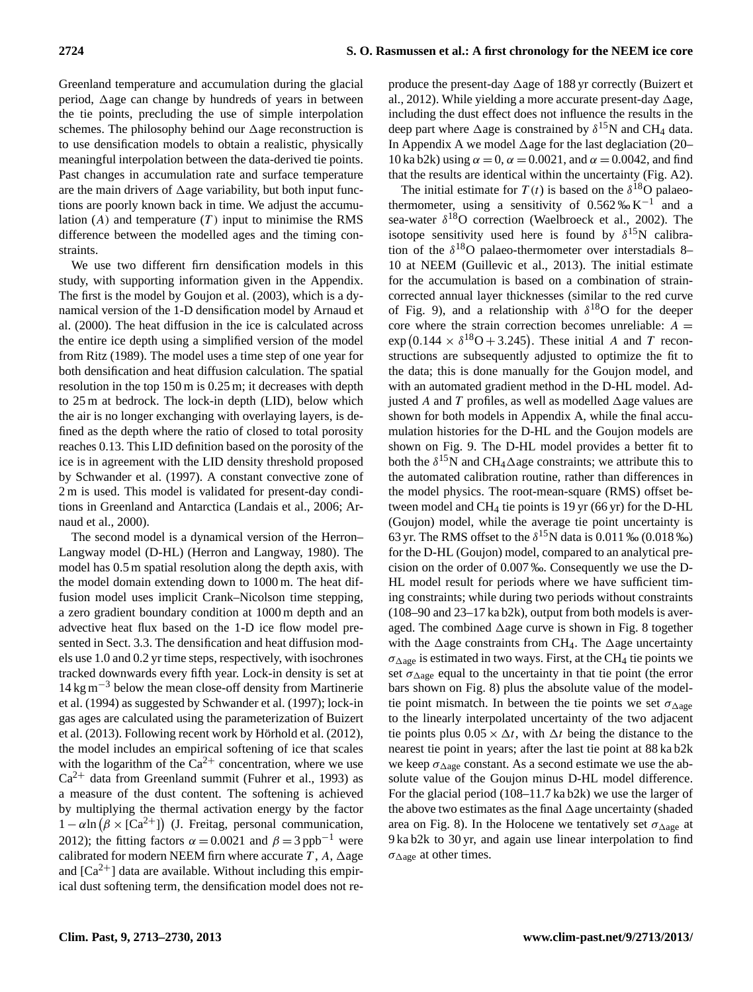Greenland temperature and accumulation during the glacial period,  $\Delta$ age can change by hundreds of years in between the tie points, precluding the use of simple interpolation schemes. The philosophy behind our  $\Delta$ age reconstruction is to use densification models to obtain a realistic, physically meaningful interpolation between the data-derived tie points. Past changes in accumulation rate and surface temperature are the main drivers of  $\Delta$ age variability, but both input functions are poorly known back in time. We adjust the accumulation  $(A)$  and temperature  $(T)$  input to minimise the RMS difference between the modelled ages and the timing constraints.

We use two different firn densification models in this study, with supporting information given in the Appendix. The first is the model by Goujon et al. (2003), which is a dynamical version of the 1-D densification model by Arnaud et al. (2000). The heat diffusion in the ice is calculated across the entire ice depth using a simplified version of the model from Ritz (1989). The model uses a time step of one year for both densification and heat diffusion calculation. The spatial resolution in the top 150 m is 0.25 m; it decreases with depth to 25 m at bedrock. The lock-in depth (LID), below which the air is no longer exchanging with overlaying layers, is defined as the depth where the ratio of closed to total porosity reaches 0.13. This LID definition based on the porosity of the ice is in agreement with the LID density threshold proposed by Schwander et al. (1997). A constant convective zone of 2 m is used. This model is validated for present-day conditions in Greenland and Antarctica (Landais et al., 2006; Arnaud et al., 2000).

The second model is a dynamical version of the Herron– Langway model (D-HL) (Herron and Langway, 1980). The model has 0.5 m spatial resolution along the depth axis, with the model domain extending down to 1000 m. The heat diffusion model uses implicit Crank–Nicolson time stepping, a zero gradient boundary condition at 1000 m depth and an advective heat flux based on the 1-D ice flow model presented in Sect. 3.3. The densification and heat diffusion models use 1.0 and 0.2 yr time steps, respectively, with isochrones tracked downwards every fifth year. Lock-in density is set at  $14 \text{ kg m}^{-3}$  below the mean close-off density from Martinerie et al. (1994) as suggested by Schwander et al. (1997); lock-in gas ages are calculated using the parameterization of Buizert et al. (2013). Following recent work by Hörhold et al. (2012), the model includes an empirical softening of ice that scales with the logarithm of the  $Ca^{2+}$  concentration, where we use  $Ca^{2+}$  data from Greenland summit (Fuhrer et al., 1993) as a measure of the dust content. The softening is achieved by multiplying the thermal activation energy by the factor  $1 - \alpha \ln (\beta \times [Ca^{2+}] )$  (J. Freitag, personal communication, 2012); the fitting factors  $\alpha = 0.0021$  and  $\beta = 3$  ppb<sup>-1</sup> were calibrated for modern NEEM firn where accurate  $T$ , A,  $\Delta$ age and  $[Ca^{2+}]$  data are available. Without including this empirical dust softening term, the densification model does not re-

produce the present-day  $\triangle$ age of 188 yr correctly (Buizert et al., 2012). While yielding a more accurate present-day  $\Delta$ age, including the dust effect does not influence the results in the deep part where  $\triangle$ age is constrained by  $\delta^{15}$ N and CH<sub>4</sub> data. In Appendix A we model  $\triangle$ age for the last deglaciation (20– 10 ka b2k) using  $\alpha = 0$ ,  $\alpha = 0.0021$ , and  $\alpha = 0.0042$ , and find that the results are identical within the uncertainty (Fig. A2).

The initial estimate for  $T(t)$  is based on the  $\delta^{18}$ O palaeothermometer, using a sensitivity of  $0.562\% \text{ K}^{-1}$  and a sea-water  $\delta^{18}$ O correction (Waelbroeck et al., 2002). The isotope sensitivity used here is found by  $\delta^{15}N$  calibration of the  $\delta^{18}$ O palaeo-thermometer over interstadials 8– 10 at NEEM (Guillevic et al., 2013). The initial estimate for the accumulation is based on a combination of straincorrected annual layer thicknesses (similar to the red curve of Fig. 9), and a relationship with  $\delta^{18}O$  for the deeper core where the strain correction becomes unreliable:  $A =$  $\exp(0.144 \times \delta^{18}O + 3.245)$ . These initial A and T reconstructions are subsequently adjusted to optimize the fit to the data; this is done manually for the Goujon model, and with an automated gradient method in the D-HL model. Adjusted A and T profiles, as well as modelled  $\triangle$ age values are shown for both models in Appendix A, while the final accumulation histories for the D-HL and the Goujon models are shown on Fig. 9. The D-HL model provides a better fit to both the  $\delta^{15}N$  and CH<sub>4</sub> $\Delta$ age constraints; we attribute this to the automated calibration routine, rather than differences in the model physics. The root-mean-square (RMS) offset between model and  $CH_4$  tie points is 19 yr (66 yr) for the D-HL (Goujon) model, while the average tie point uncertainty is 63 yr. The RMS offset to the  $\delta^{15}$ N data is 0.011 ‰ (0.018 ‰) for the D-HL (Goujon) model, compared to an analytical precision on the order of 0.007 ‰. Consequently we use the D-HL model result for periods where we have sufficient timing constraints; while during two periods without constraints (108–90 and 23–17 ka b2k), output from both models is averaged. The combined  $\Delta$ age curve is shown in Fig. 8 together with the  $\Delta$ age constraints from CH<sub>4</sub>. The  $\Delta$ age uncertainty  $\sigma_{\Delta age}$  is estimated in two ways. First, at the CH<sub>4</sub> tie points we set  $\sigma_{\Delta aee}$  equal to the uncertainty in that tie point (the error bars shown on Fig. 8) plus the absolute value of the modeltie point mismatch. In between the tie points we set  $\sigma_{\Delta a}$ to the linearly interpolated uncertainty of the two adjacent tie points plus  $0.05 \times \Delta t$ , with  $\Delta t$  being the distance to the nearest tie point in years; after the last tie point at 88 ka b2k we keep  $\sigma_{\Delta age}$  constant. As a second estimate we use the absolute value of the Goujon minus D-HL model difference. For the glacial period (108–11.7 ka b2k) we use the larger of the above two estimates as the final  $\Delta$ age uncertainty (shaded area on Fig. 8). In the Holocene we tentatively set  $\sigma_{\Delta aee}$  at 9 ka b2k to 30 yr, and again use linear interpolation to find  $\sigma_{\Delta age}$  at other times.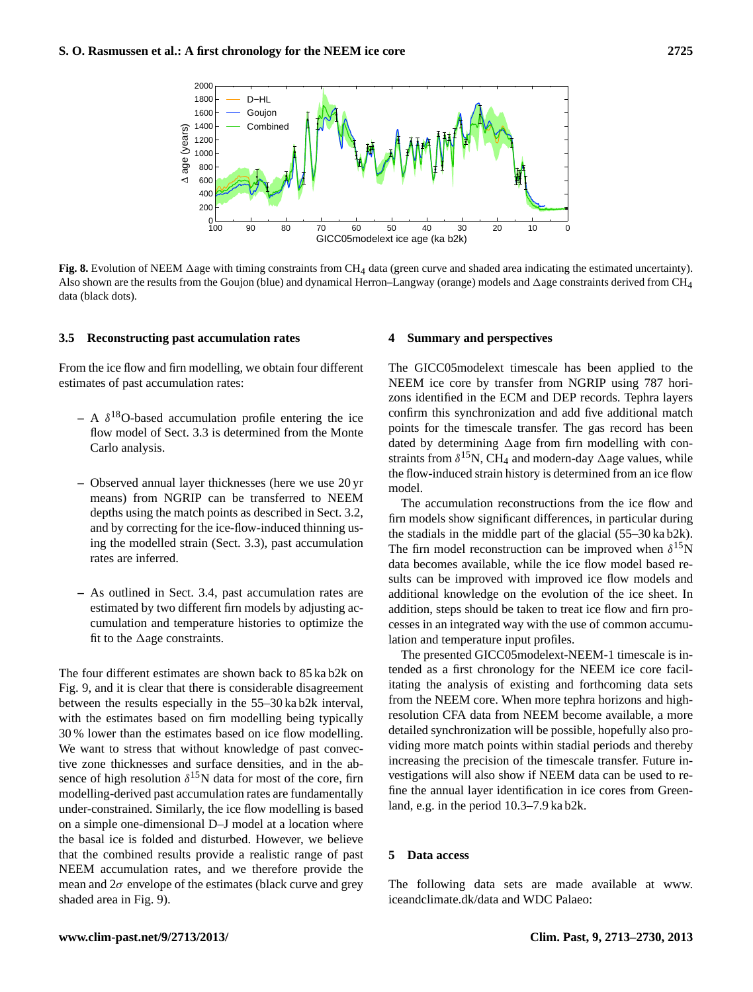

**Fig. 8.** Evolution of NEEM  $\Delta$ age with timing constraints from CH<sub>4</sub> data (green curve and shaded area indicating the estimated uncertainty). Also shown are the results from the Goujon (blue) and dynamical Herron–Langway (orange) models and  $\Delta$ age constraints derived from CH<sub>4</sub> data (black dots).

## **3.5 Reconstructing past accumulation rates**

From the ice flow and firn modelling, we obtain four different estimates of past accumulation rates:

- $-$  A  $\delta^{18}$ O-based accumulation profile entering the ice flow model of Sect. 3.3 is determined from the Monte Carlo analysis.
- **–** Observed annual layer thicknesses (here we use 20 yr means) from NGRIP can be transferred to NEEM depths using the match points as described in Sect. 3.2, and by correcting for the ice-flow-induced thinning using the modelled strain (Sect. 3.3), past accumulation rates are inferred.
- **–** As outlined in Sect. 3.4, past accumulation rates are estimated by two different firn models by adjusting accumulation and temperature histories to optimize the fit to the  $\Delta$ age constraints.

The four different estimates are shown back to 85 ka b2k on Fig. 9, and it is clear that there is considerable disagreement between the results especially in the 55–30 ka b2k interval, with the estimates based on firn modelling being typically 30 % lower than the estimates based on ice flow modelling. We want to stress that without knowledge of past convective zone thicknesses and surface densities, and in the absence of high resolution  $\delta^{15}N$  data for most of the core, firn modelling-derived past accumulation rates are fundamentally under-constrained. Similarly, the ice flow modelling is based on a simple one-dimensional D–J model at a location where the basal ice is folded and disturbed. However, we believe that the combined results provide a realistic range of past NEEM accumulation rates, and we therefore provide the mean and  $2\sigma$  envelope of the estimates (black curve and grey shaded area in Fig. 9).

## **4 Summary and perspectives**

The GICC05modelext timescale has been applied to the NEEM ice core by transfer from NGRIP using 787 horizons identified in the ECM and DEP records. Tephra layers confirm this synchronization and add five additional match points for the timescale transfer. The gas record has been dated by determining  $\Delta$ age from firn modelling with constraints from  $\delta^{15}N$ , CH<sub>4</sub> and modern-day  $\Delta$ age values, while the flow-induced strain history is determined from an ice flow model.

The accumulation reconstructions from the ice flow and firn models show significant differences, in particular during the stadials in the middle part of the glacial (55–30 ka b2k). The firn model reconstruction can be improved when  $\delta^{15}$ N data becomes available, while the ice flow model based results can be improved with improved ice flow models and additional knowledge on the evolution of the ice sheet. In addition, steps should be taken to treat ice flow and firn processes in an integrated way with the use of common accumulation and temperature input profiles.

The presented GICC05modelext-NEEM-1 timescale is intended as a first chronology for the NEEM ice core facilitating the analysis of existing and forthcoming data sets from the NEEM core. When more tephra horizons and highresolution CFA data from NEEM become available, a more detailed synchronization will be possible, hopefully also providing more match points within stadial periods and thereby increasing the precision of the timescale transfer. Future investigations will also show if NEEM data can be used to refine the annual layer identification in ice cores from Greenland, e.g. in the period 10.3–7.9 ka b2k.

## **5 Data access**

The following data sets are made available at [www.](www.iceandclimate.dk/data) [iceandclimate.dk/data](www.iceandclimate.dk/data) and WDC Palaeo: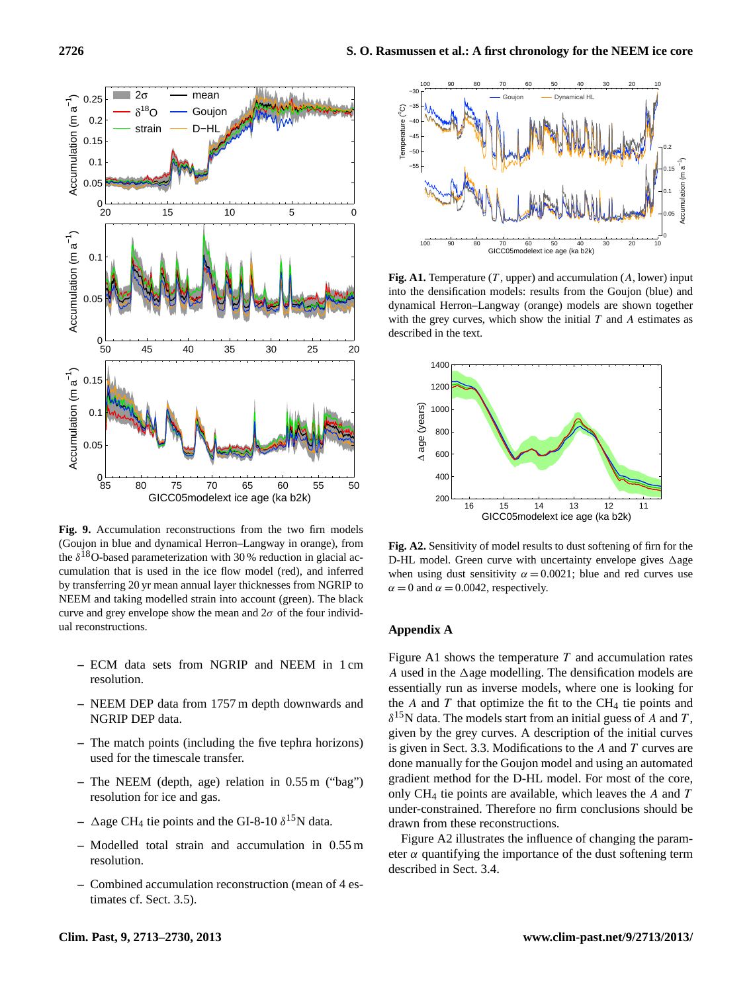

**Fig. 9.** Accumulation reconstructions from the two firn models (Goujon in blue and dynamical Herron–Langway in orange), from the  $\delta^{18}$ O-based parameterization with 30% reduction in glacial accumulation that is used in the ice flow model (red), and inferred by transferring 20 yr mean annual layer thicknesses from NGRIP to NEEM and taking modelled strain into account (green). The black curve and grey envelope show the mean and  $2\sigma$  of the four individual reconstructions.

- **–** ECM data sets from NGRIP and NEEM in 1 cm resolution.
- **–** NEEM DEP data from 1757 m depth downwards and NGRIP DEP data.
- **–** The match points (including the five tephra horizons) used for the timescale transfer.
- **–** The NEEM (depth, age) relation in 0.55 m ("bag") resolution for ice and gas.
- $\Delta$ age CH<sub>4</sub> tie points and the GI-8-10  $\delta$ <sup>15</sup>N data.
- **–** Modelled total strain and accumulation in 0.55 m resolution.
- **–** Combined accumulation reconstruction (mean of 4 estimates cf. Sect. 3.5).



**Fig. A1.** Temperature  $(T, upper)$  and accumulation  $(A, lower)$  input into the densification models: results from the Goujon (blue) and dynamical Herron–Langway (orange) models are shown together with the grey curves, which show the initial  $T$  and  $A$  estimates as described in the text.



**Fig. A2.** Sensitivity of model results to dust softening of firn for the D-HL model. Green curve with uncertainty envelope gives  $\triangle$ age when using dust sensitivity  $\alpha = 0.0021$ ; blue and red curves use  $\alpha = 0$  and  $\alpha = 0.0042$ , respectively.

# **Appendix A**

Figure A1 shows the temperature  $T$  and accumulation rates A used in the  $\triangle$ age modelling. The densification models are essentially run as inverse models, where one is looking for the A and T that optimize the fit to the  $CH<sub>4</sub>$  tie points and  $\delta^{15}$ N data. The models start from an initial guess of A and T, given by the grey curves. A description of the initial curves is given in Sect. 3.3. Modifications to the  $A$  and  $T$  curves are done manually for the Goujon model and using an automated gradient method for the D-HL model. For most of the core, only  $CH<sub>4</sub>$  tie points are available, which leaves the A and T under-constrained. Therefore no firm conclusions should be drawn from these reconstructions.

Figure A2 illustrates the influence of changing the parameter  $\alpha$  quantifying the importance of the dust softening term described in Sect. 3.4.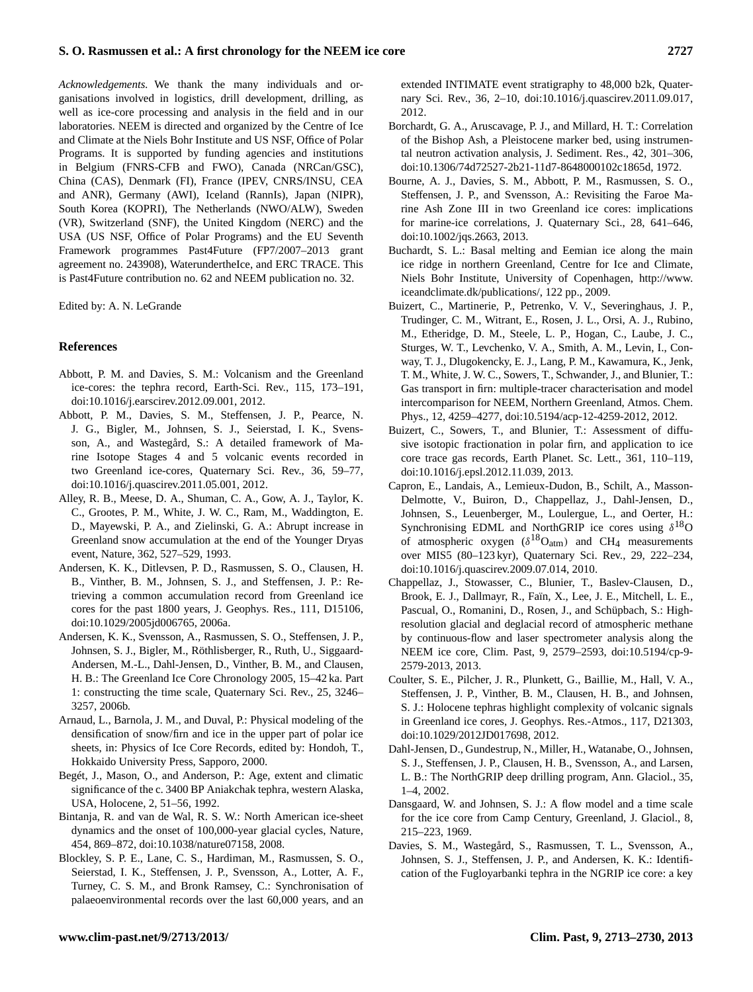*Acknowledgements.* We thank the many individuals and organisations involved in logistics, drill development, drilling, as well as ice-core processing and analysis in the field and in our laboratories. NEEM is directed and organized by the Centre of Ice and Climate at the Niels Bohr Institute and US NSF, Office of Polar Programs. It is supported by funding agencies and institutions in Belgium (FNRS-CFB and FWO), Canada (NRCan/GSC), China (CAS), Denmark (FI), France (IPEV, CNRS/INSU, CEA and ANR), Germany (AWI), Iceland (RannIs), Japan (NIPR), South Korea (KOPRI), The Netherlands (NWO/ALW), Sweden (VR), Switzerland (SNF), the United Kingdom (NERC) and the USA (US NSF, Office of Polar Programs) and the EU Seventh Framework programmes Past4Future (FP7/2007–2013 grant agreement no. 243908), WaterundertheIce, and ERC TRACE. This is Past4Future contribution no. 62 and NEEM publication no. 32.

Edited by: A. N. LeGrande

#### **References**

- Abbott, P. M. and Davies, S. M.: Volcanism and the Greenland ice-cores: the tephra record, Earth-Sci. Rev., 115, 173–191, doi[:10.1016/j.earscirev.2012.09.001,](http://dx.doi.org/10.1016/j.earscirev.2012.09.001) 2012.
- Abbott, P. M., Davies, S. M., Steffensen, J. P., Pearce, N. J. G., Bigler, M., Johnsen, S. J., Seierstad, I. K., Svensson, A., and Wastegård, S.: A detailed framework of Marine Isotope Stages 4 and 5 volcanic events recorded in two Greenland ice-cores, Quaternary Sci. Rev., 36, 59–77, doi[:10.1016/j.quascirev.2011.05.001,](http://dx.doi.org/10.1016/j.quascirev.2011.05.001) 2012.
- Alley, R. B., Meese, D. A., Shuman, C. A., Gow, A. J., Taylor, K. C., Grootes, P. M., White, J. W. C., Ram, M., Waddington, E. D., Mayewski, P. A., and Zielinski, G. A.: Abrupt increase in Greenland snow accumulation at the end of the Younger Dryas event, Nature, 362, 527–529, 1993.
- Andersen, K. K., Ditlevsen, P. D., Rasmussen, S. O., Clausen, H. B., Vinther, B. M., Johnsen, S. J., and Steffensen, J. P.: Retrieving a common accumulation record from Greenland ice cores for the past 1800 years, J. Geophys. Res., 111, D15106, doi[:10.1029/2005jd006765,](http://dx.doi.org/10.1029/2005jd006765) 2006a.
- Andersen, K. K., Svensson, A., Rasmussen, S. O., Steffensen, J. P., Johnsen, S. J., Bigler, M., Röthlisberger, R., Ruth, U., Siggaard-Andersen, M.-L., Dahl-Jensen, D., Vinther, B. M., and Clausen, H. B.: The Greenland Ice Core Chronology 2005, 15–42 ka. Part 1: constructing the time scale, Quaternary Sci. Rev., 25, 3246– 3257, 2006b.
- Arnaud, L., Barnola, J. M., and Duval, P.: Physical modeling of the densification of snow/firn and ice in the upper part of polar ice sheets, in: Physics of Ice Core Records, edited by: Hondoh, T., Hokkaido University Press, Sapporo, 2000.
- Begét, J., Mason, O., and Anderson, P.: Age, extent and climatic significance of the c. 3400 BP Aniakchak tephra, western Alaska, USA, Holocene, 2, 51–56, 1992.
- Bintanja, R. and van de Wal, R. S. W.: North American ice-sheet dynamics and the onset of 100,000-year glacial cycles, Nature, 454, 869–872, doi[:10.1038/nature07158,](http://dx.doi.org/10.1038/nature07158) 2008.
- Blockley, S. P. E., Lane, C. S., Hardiman, M., Rasmussen, S. O., Seierstad, I. K., Steffensen, J. P., Svensson, A., Lotter, A. F., Turney, C. S. M., and Bronk Ramsey, C.: Synchronisation of palaeoenvironmental records over the last 60,000 years, and an

extended INTIMATE event stratigraphy to 48,000 b2k, Quaternary Sci. Rev., 36, 2–10, doi[:10.1016/j.quascirev.2011.09.017,](http://dx.doi.org/10.1016/j.quascirev.2011.09.017) 2012.

- Borchardt, G. A., Aruscavage, P. J., and Millard, H. T.: Correlation of the Bishop Ash, a Pleistocene marker bed, using instrumental neutron activation analysis, J. Sediment. Res., 42, 301–306, doi[:10.1306/74d72527-2b21-11d7-8648000102c1865d,](http://dx.doi.org/10.1306/74d72527-2b21-11d7-8648000102c1865d) 1972.
- Bourne, A. J., Davies, S. M., Abbott, P. M., Rasmussen, S. O., Steffensen, J. P., and Svensson, A.: Revisiting the Faroe Marine Ash Zone III in two Greenland ice cores: implications for marine-ice correlations, J. Quaternary Sci., 28, 641–646, doi[:10.1002/jqs.2663,](http://dx.doi.org/10.1002/jqs.2663) 2013.
- Buchardt, S. L.: Basal melting and Eemian ice along the main ice ridge in northern Greenland, Centre for Ice and Climate, Niels Bohr Institute, University of Copenhagen, [http://www.](http://www.iceandclimate.dk/publications/) [iceandclimate.dk/publications/,](http://www.iceandclimate.dk/publications/) 122 pp., 2009.
- Buizert, C., Martinerie, P., Petrenko, V. V., Severinghaus, J. P., Trudinger, C. M., Witrant, E., Rosen, J. L., Orsi, A. J., Rubino, M., Etheridge, D. M., Steele, L. P., Hogan, C., Laube, J. C., Sturges, W. T., Levchenko, V. A., Smith, A. M., Levin, I., Conway, T. J., Dlugokencky, E. J., Lang, P. M., Kawamura, K., Jenk, T. M., White, J. W. C., Sowers, T., Schwander, J., and Blunier, T.: Gas transport in firn: multiple-tracer characterisation and model intercomparison for NEEM, Northern Greenland, Atmos. Chem. Phys., 12, 4259–4277, doi[:10.5194/acp-12-4259-2012,](http://dx.doi.org/10.5194/acp-12-4259-2012) 2012.
- Buizert, C., Sowers, T., and Blunier, T.: Assessment of diffusive isotopic fractionation in polar firn, and application to ice core trace gas records, Earth Planet. Sc. Lett., 361, 110–119, doi[:10.1016/j.epsl.2012.11.039,](http://dx.doi.org/10.1016/j.epsl.2012.11.039) 2013.
- Capron, E., Landais, A., Lemieux-Dudon, B., Schilt, A., Masson-Delmotte, V., Buiron, D., Chappellaz, J., Dahl-Jensen, D., Johnsen, S., Leuenberger, M., Loulergue, L., and Oerter, H.: Synchronising EDML and NorthGRIP ice cores using  $\delta^{18}$ O of atmospheric oxygen  $(\delta^{18}O_{atm})$  and CH<sub>4</sub> measurements over MIS5 (80–123 kyr), Quaternary Sci. Rev., 29, 222–234, doi[:10.1016/j.quascirev.2009.07.014,](http://dx.doi.org/10.1016/j.quascirev.2009.07.014) 2010.
- Chappellaz, J., Stowasser, C., Blunier, T., Baslev-Clausen, D., Brook, E. J., Dallmayr, R., Faïn, X., Lee, J. E., Mitchell, L. E., Pascual, O., Romanini, D., Rosen, J., and Schüpbach, S.: Highresolution glacial and deglacial record of atmospheric methane by continuous-flow and laser spectrometer analysis along the NEEM ice core, Clim. Past, 9, 2579–2593, doi[:10.5194/cp-9-](http://dx.doi.org/10.5194/cp-9-2579-2013) [2579-2013,](http://dx.doi.org/10.5194/cp-9-2579-2013) 2013.
- Coulter, S. E., Pilcher, J. R., Plunkett, G., Baillie, M., Hall, V. A., Steffensen, J. P., Vinther, B. M., Clausen, H. B., and Johnsen, S. J.: Holocene tephras highlight complexity of volcanic signals in Greenland ice cores, J. Geophys. Res.-Atmos., 117, D21303, doi[:10.1029/2012JD017698,](http://dx.doi.org/10.1029/2012JD017698) 2012.
- Dahl-Jensen, D., Gundestrup, N., Miller, H., Watanabe, O., Johnsen, S. J., Steffensen, J. P., Clausen, H. B., Svensson, A., and Larsen, L. B.: The NorthGRIP deep drilling program, Ann. Glaciol., 35, 1–4, 2002.
- Dansgaard, W. and Johnsen, S. J.: A flow model and a time scale for the ice core from Camp Century, Greenland, J. Glaciol., 8, 215–223, 1969.
- Davies, S. M., Wastegård, S., Rasmussen, T. L., Svensson, A., Johnsen, S. J., Steffensen, J. P., and Andersen, K. K.: Identification of the Fugloyarbanki tephra in the NGRIP ice core: a key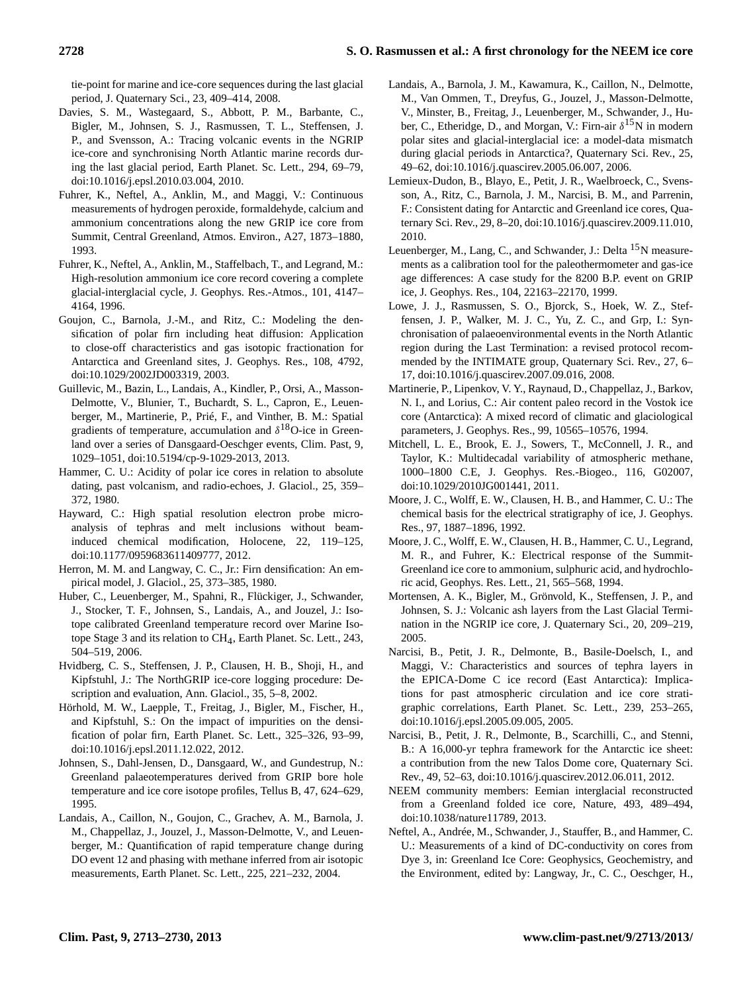tie-point for marine and ice-core sequences during the last glacial period, J. Quaternary Sci., 23, 409–414, 2008.

- Davies, S. M., Wastegaard, S., Abbott, P. M., Barbante, C., Bigler, M., Johnsen, S. J., Rasmussen, T. L., Steffensen, J. P., and Svensson, A.: Tracing volcanic events in the NGRIP ice-core and synchronising North Atlantic marine records during the last glacial period, Earth Planet. Sc. Lett., 294, 69–79, doi[:10.1016/j.epsl.2010.03.004,](http://dx.doi.org/10.1016/j.epsl.2010.03.004) 2010.
- Fuhrer, K., Neftel, A., Anklin, M., and Maggi, V.: Continuous measurements of hydrogen peroxide, formaldehyde, calcium and ammonium concentrations along the new GRIP ice core from Summit, Central Greenland, Atmos. Environ., A27, 1873–1880, 1993.
- Fuhrer, K., Neftel, A., Anklin, M., Staffelbach, T., and Legrand, M.: High-resolution ammonium ice core record covering a complete glacial-interglacial cycle, J. Geophys. Res.-Atmos., 101, 4147– 4164, 1996.
- Goujon, C., Barnola, J.-M., and Ritz, C.: Modeling the densification of polar firn including heat diffusion: Application to close-off characteristics and gas isotopic fractionation for Antarctica and Greenland sites, J. Geophys. Res., 108, 4792, doi[:10.1029/2002JD003319,](http://dx.doi.org/10.1029/2002JD003319) 2003.
- Guillevic, M., Bazin, L., Landais, A., Kindler, P., Orsi, A., Masson-Delmotte, V., Blunier, T., Buchardt, S. L., Capron, E., Leuenberger, M., Martinerie, P., Prié, F., and Vinther, B. M.: Spatial gradients of temperature, accumulation and  $\delta^{18}O$ -ice in Greenland over a series of Dansgaard-Oeschger events, Clim. Past, 9, 1029–1051, doi[:10.5194/cp-9-1029-2013,](http://dx.doi.org/10.5194/cp-9-1029-2013) 2013.
- Hammer, C. U.: Acidity of polar ice cores in relation to absolute dating, past volcanism, and radio-echoes, J. Glaciol., 25, 359– 372, 1980.
- Hayward, C.: High spatial resolution electron probe microanalysis of tephras and melt inclusions without beaminduced chemical modification, Holocene, 22, 119–125, doi[:10.1177/0959683611409777,](http://dx.doi.org/10.1177/0959683611409777) 2012.
- Herron, M. M. and Langway, C. C., Jr.: Firn densification: An empirical model, J. Glaciol., 25, 373–385, 1980.
- Huber, C., Leuenberger, M., Spahni, R., Flückiger, J., Schwander, J., Stocker, T. F., Johnsen, S., Landais, A., and Jouzel, J.: Isotope calibrated Greenland temperature record over Marine Isotope Stage 3 and its relation to CH<sub>4</sub>, Earth Planet. Sc. Lett., 243, 504–519, 2006.
- Hvidberg, C. S., Steffensen, J. P., Clausen, H. B., Shoji, H., and Kipfstuhl, J.: The NorthGRIP ice-core logging procedure: Description and evaluation, Ann. Glaciol., 35, 5–8, 2002.
- Hörhold, M. W., Laepple, T., Freitag, J., Bigler, M., Fischer, H., and Kipfstuhl, S.: On the impact of impurities on the densification of polar firn, Earth Planet. Sc. Lett., 325–326, 93–99, doi[:10.1016/j.epsl.2011.12.022,](http://dx.doi.org/10.1016/j.epsl.2011.12.022) 2012.
- Johnsen, S., Dahl-Jensen, D., Dansgaard, W., and Gundestrup, N.: Greenland palaeotemperatures derived from GRIP bore hole temperature and ice core isotope profiles, Tellus B, 47, 624–629, 1995.
- Landais, A., Caillon, N., Goujon, C., Grachev, A. M., Barnola, J. M., Chappellaz, J., Jouzel, J., Masson-Delmotte, V., and Leuenberger, M.: Quantification of rapid temperature change during DO event 12 and phasing with methane inferred from air isotopic measurements, Earth Planet. Sc. Lett., 225, 221–232, 2004.
- Landais, A., Barnola, J. M., Kawamura, K., Caillon, N., Delmotte, M., Van Ommen, T., Dreyfus, G., Jouzel, J., Masson-Delmotte, V., Minster, B., Freitag, J., Leuenberger, M., Schwander, J., Huber, C., Etheridge, D., and Morgan, V.: Firn-air  $\delta^{15}N$  in modern polar sites and glacial-interglacial ice: a model-data mismatch during glacial periods in Antarctica?, Quaternary Sci. Rev., 25, 49–62, doi[:10.1016/j.quascirev.2005.06.007,](http://dx.doi.org/10.1016/j.quascirev.2005.06.007) 2006.
- Lemieux-Dudon, B., Blayo, E., Petit, J. R., Waelbroeck, C., Svensson, A., Ritz, C., Barnola, J. M., Narcisi, B. M., and Parrenin, F.: Consistent dating for Antarctic and Greenland ice cores, Quaternary Sci. Rev., 29, 8–20, doi[:10.1016/j.quascirev.2009.11.010,](http://dx.doi.org/10.1016/j.quascirev.2009.11.010) 2010.
- Leuenberger, M., Lang, C., and Schwander, J.: Delta <sup>15</sup>N measurements as a calibration tool for the paleothermometer and gas-ice age differences: A case study for the 8200 B.P. event on GRIP ice, J. Geophys. Res., 104, 22163–22170, 1999.
- Lowe, J. J., Rasmussen, S. O., Bjorck, S., Hoek, W. Z., Steffensen, J. P., Walker, M. J. C., Yu, Z. C., and Grp, I.: Synchronisation of palaeoenvironmental events in the North Atlantic region during the Last Termination: a revised protocol recommended by the INTIMATE group, Quaternary Sci. Rev., 27, 6– 17, doi[:10.1016/j.quascirev.2007.09.016,](http://dx.doi.org/10.1016/j.quascirev.2007.09.016) 2008.
- Martinerie, P., Lipenkov, V. Y., Raynaud, D., Chappellaz, J., Barkov, N. I., and Lorius, C.: Air content paleo record in the Vostok ice core (Antarctica): A mixed record of climatic and glaciological parameters, J. Geophys. Res., 99, 10565–10576, 1994.
- Mitchell, L. E., Brook, E. J., Sowers, T., McConnell, J. R., and Taylor, K.: Multidecadal variability of atmospheric methane, 1000–1800 C.E, J. Geophys. Res.-Biogeo., 116, G02007, doi[:10.1029/2010JG001441,](http://dx.doi.org/10.1029/2010JG001441) 2011.
- Moore, J. C., Wolff, E. W., Clausen, H. B., and Hammer, C. U.: The chemical basis for the electrical stratigraphy of ice, J. Geophys. Res., 97, 1887–1896, 1992.
- Moore, J. C., Wolff, E. W., Clausen, H. B., Hammer, C. U., Legrand, M. R., and Fuhrer, K.: Electrical response of the Summit-Greenland ice core to ammonium, sulphuric acid, and hydrochloric acid, Geophys. Res. Lett., 21, 565–568, 1994.
- Mortensen, A. K., Bigler, M., Grönvold, K., Steffensen, J. P., and Johnsen, S. J.: Volcanic ash layers from the Last Glacial Termination in the NGRIP ice core, J. Quaternary Sci., 20, 209–219, 2005.
- Narcisi, B., Petit, J. R., Delmonte, B., Basile-Doelsch, I., and Maggi, V.: Characteristics and sources of tephra layers in the EPICA-Dome C ice record (East Antarctica): Implications for past atmospheric circulation and ice core stratigraphic correlations, Earth Planet. Sc. Lett., 239, 253–265, doi[:10.1016/j.epsl.2005.09.005,](http://dx.doi.org/10.1016/j.epsl.2005.09.005) 2005.
- Narcisi, B., Petit, J. R., Delmonte, B., Scarchilli, C., and Stenni, B.: A 16,000-yr tephra framework for the Antarctic ice sheet: a contribution from the new Talos Dome core, Quaternary Sci. Rev., 49, 52–63, doi[:10.1016/j.quascirev.2012.06.011,](http://dx.doi.org/10.1016/j.quascirev.2012.06.011) 2012.
- NEEM community members: Eemian interglacial reconstructed from a Greenland folded ice core, Nature, 493, 489–494, doi[:10.1038/nature11789,](http://dx.doi.org/10.1038/nature11789) 2013.
- Neftel, A., Andrée, M., Schwander, J., Stauffer, B., and Hammer, C. U.: Measurements of a kind of DC-conductivity on cores from Dye 3, in: Greenland Ice Core: Geophysics, Geochemistry, and the Environment, edited by: Langway, Jr., C. C., Oeschger, H.,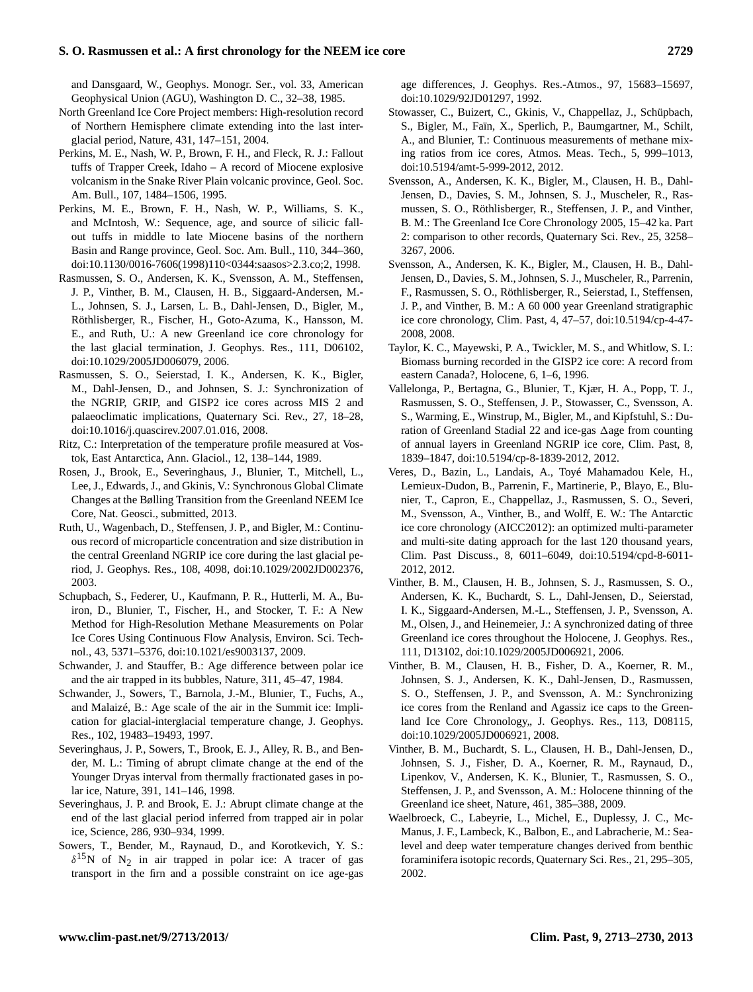## **S. O. Rasmussen et al.: A first chronology for the NEEM ice core 2729**

and Dansgaard, W., Geophys. Monogr. Ser., vol. 33, American Geophysical Union (AGU), Washington D. C., 32–38, 1985.

- North Greenland Ice Core Project members: High-resolution record of Northern Hemisphere climate extending into the last interglacial period, Nature, 431, 147–151, 2004.
- Perkins, M. E., Nash, W. P., Brown, F. H., and Fleck, R. J.: Fallout tuffs of Trapper Creek, Idaho – A record of Miocene explosive volcanism in the Snake River Plain volcanic province, Geol. Soc. Am. Bull., 107, 1484–1506, 1995.
- Perkins, M. E., Brown, F. H., Nash, W. P., Williams, S. K., and McIntosh, W.: Sequence, age, and source of silicic fallout tuffs in middle to late Miocene basins of the northern Basin and Range province, Geol. Soc. Am. Bull., 110, 344–360, doi[:10.1130/0016-7606\(1998\)110<0344:saasos>2.3.co;2,](http://dx.doi.org/10.1130/0016-7606(1998)110%3C0344:saasos%3E2.3.co;2) 1998.
- Rasmussen, S. O., Andersen, K. K., Svensson, A. M., Steffensen, J. P., Vinther, B. M., Clausen, H. B., Siggaard-Andersen, M.- L., Johnsen, S. J., Larsen, L. B., Dahl-Jensen, D., Bigler, M., Röthlisberger, R., Fischer, H., Goto-Azuma, K., Hansson, M. E., and Ruth, U.: A new Greenland ice core chronology for the last glacial termination, J. Geophys. Res., 111, D06102, doi[:10.1029/2005JD006079,](http://dx.doi.org/10.1029/2005JD006079) 2006.
- Rasmussen, S. O., Seierstad, I. K., Andersen, K. K., Bigler, M., Dahl-Jensen, D., and Johnsen, S. J.: Synchronization of the NGRIP, GRIP, and GISP2 ice cores across MIS 2 and palaeoclimatic implications, Quaternary Sci. Rev., 27, 18–28, doi[:10.1016/j.quascirev.2007.01.016,](http://dx.doi.org/10.1016/j.quascirev.2007.01.016) 2008.
- Ritz, C.: Interpretation of the temperature profile measured at Vostok, East Antarctica, Ann. Glaciol., 12, 138–144, 1989.
- Rosen, J., Brook, E., Severinghaus, J., Blunier, T., Mitchell, L., Lee, J., Edwards, J., and Gkinis, V.: Synchronous Global Climate Changes at the Bølling Transition from the Greenland NEEM Ice Core, Nat. Geosci., submitted, 2013.
- Ruth, U., Wagenbach, D., Steffensen, J. P., and Bigler, M.: Continuous record of microparticle concentration and size distribution in the central Greenland NGRIP ice core during the last glacial period, J. Geophys. Res., 108, 4098, doi[:10.1029/2002JD002376,](http://dx.doi.org/10.1029/2002JD002376) 2003.
- Schupbach, S., Federer, U., Kaufmann, P. R., Hutterli, M. A., Buiron, D., Blunier, T., Fischer, H., and Stocker, T. F.: A New Method for High-Resolution Methane Measurements on Polar Ice Cores Using Continuous Flow Analysis, Environ. Sci. Technol., 43, 5371–5376, doi[:10.1021/es9003137,](http://dx.doi.org/10.1021/es9003137) 2009.
- Schwander, J. and Stauffer, B.: Age difference between polar ice and the air trapped in its bubbles, Nature, 311, 45–47, 1984.
- Schwander, J., Sowers, T., Barnola, J.-M., Blunier, T., Fuchs, A., and Malaizé, B.: Age scale of the air in the Summit ice: Implication for glacial-interglacial temperature change, J. Geophys. Res., 102, 19483–19493, 1997.
- Severinghaus, J. P., Sowers, T., Brook, E. J., Alley, R. B., and Bender, M. L.: Timing of abrupt climate change at the end of the Younger Dryas interval from thermally fractionated gases in polar ice, Nature, 391, 141–146, 1998.
- Severinghaus, J. P. and Brook, E. J.: Abrupt climate change at the end of the last glacial period inferred from trapped air in polar ice, Science, 286, 930–934, 1999.
- Sowers, T., Bender, M., Raynaud, D., and Korotkevich, Y. S.:  $\delta^{15}$ N of N<sub>2</sub> in air trapped in polar ice: A tracer of gas transport in the firn and a possible constraint on ice age-gas

age differences, J. Geophys. Res.-Atmos., 97, 15683–15697, doi[:10.1029/92JD01297,](http://dx.doi.org/10.1029/92JD01297) 1992.

- Stowasser, C., Buizert, C., Gkinis, V., Chappellaz, J., Schüpbach, S., Bigler, M., Faïn, X., Sperlich, P., Baumgartner, M., Schilt, A., and Blunier, T.: Continuous measurements of methane mixing ratios from ice cores, Atmos. Meas. Tech., 5, 999–1013, doi[:10.5194/amt-5-999-2012,](http://dx.doi.org/10.5194/amt-5-999-2012) 2012.
- Svensson, A., Andersen, K. K., Bigler, M., Clausen, H. B., Dahl-Jensen, D., Davies, S. M., Johnsen, S. J., Muscheler, R., Rasmussen, S. O., Röthlisberger, R., Steffensen, J. P., and Vinther, B. M.: The Greenland Ice Core Chronology 2005, 15–42 ka. Part 2: comparison to other records, Quaternary Sci. Rev., 25, 3258– 3267, 2006.
- Svensson, A., Andersen, K. K., Bigler, M., Clausen, H. B., Dahl-Jensen, D., Davies, S. M., Johnsen, S. J., Muscheler, R., Parrenin, F., Rasmussen, S. O., Röthlisberger, R., Seierstad, I., Steffensen, J. P., and Vinther, B. M.: A 60 000 year Greenland stratigraphic ice core chronology, Clim. Past, 4, 47–57, doi[:10.5194/cp-4-47-](http://dx.doi.org/10.5194/cp-4-47-2008) [2008,](http://dx.doi.org/10.5194/cp-4-47-2008) 2008.
- Taylor, K. C., Mayewski, P. A., Twickler, M. S., and Whitlow, S. I.: Biomass burning recorded in the GISP2 ice core: A record from eastern Canada?, Holocene, 6, 1–6, 1996.
- Vallelonga, P., Bertagna, G., Blunier, T., Kjær, H. A., Popp, T. J., Rasmussen, S. O., Steffensen, J. P., Stowasser, C., Svensson, A. S., Warming, E., Winstrup, M., Bigler, M., and Kipfstuhl, S.: Duration of Greenland Stadial 22 and ice-gas  $\triangle$ age from counting of annual layers in Greenland NGRIP ice core, Clim. Past, 8, 1839–1847, doi[:10.5194/cp-8-1839-2012,](http://dx.doi.org/10.5194/cp-8-1839-2012) 2012.
- Veres, D., Bazin, L., Landais, A., Toyé Mahamadou Kele, H., Lemieux-Dudon, B., Parrenin, F., Martinerie, P., Blayo, E., Blunier, T., Capron, E., Chappellaz, J., Rasmussen, S. O., Severi, M., Svensson, A., Vinther, B., and Wolff, E. W.: The Antarctic ice core chronology (AICC2012): an optimized multi-parameter and multi-site dating approach for the last 120 thousand years, Clim. Past Discuss., 8, 6011–6049, doi[:10.5194/cpd-8-6011-](http://dx.doi.org/10.5194/cpd-8-6011-2012) [2012,](http://dx.doi.org/10.5194/cpd-8-6011-2012) 2012.
- Vinther, B. M., Clausen, H. B., Johnsen, S. J., Rasmussen, S. O., Andersen, K. K., Buchardt, S. L., Dahl-Jensen, D., Seierstad, I. K., Siggaard-Andersen, M.-L., Steffensen, J. P., Svensson, A. M., Olsen, J., and Heinemeier, J.: A synchronized dating of three Greenland ice cores throughout the Holocene, J. Geophys. Res., 111, D13102, doi[:10.1029/2005JD006921,](http://dx.doi.org/10.1029/2005JD006921) 2006.
- Vinther, B. M., Clausen, H. B., Fisher, D. A., Koerner, R. M., Johnsen, S. J., Andersen, K. K., Dahl-Jensen, D., Rasmussen, S. O., Steffensen, J. P., and Svensson, A. M.: Synchronizing ice cores from the Renland and Agassiz ice caps to the Greenland Ice Core Chronology,, J. Geophys. Res., 113, D08115, doi[:10.1029/2005JD006921,](http://dx.doi.org/10.1029/2005JD006921) 2008.
- Vinther, B. M., Buchardt, S. L., Clausen, H. B., Dahl-Jensen, D., Johnsen, S. J., Fisher, D. A., Koerner, R. M., Raynaud, D., Lipenkov, V., Andersen, K. K., Blunier, T., Rasmussen, S. O., Steffensen, J. P., and Svensson, A. M.: Holocene thinning of the Greenland ice sheet, Nature, 461, 385–388, 2009.
- Waelbroeck, C., Labeyrie, L., Michel, E., Duplessy, J. C., Mc-Manus, J. F., Lambeck, K., Balbon, E., and Labracherie, M.: Sealevel and deep water temperature changes derived from benthic foraminifera isotopic records, Quaternary Sci. Res., 21, 295–305, 2002.